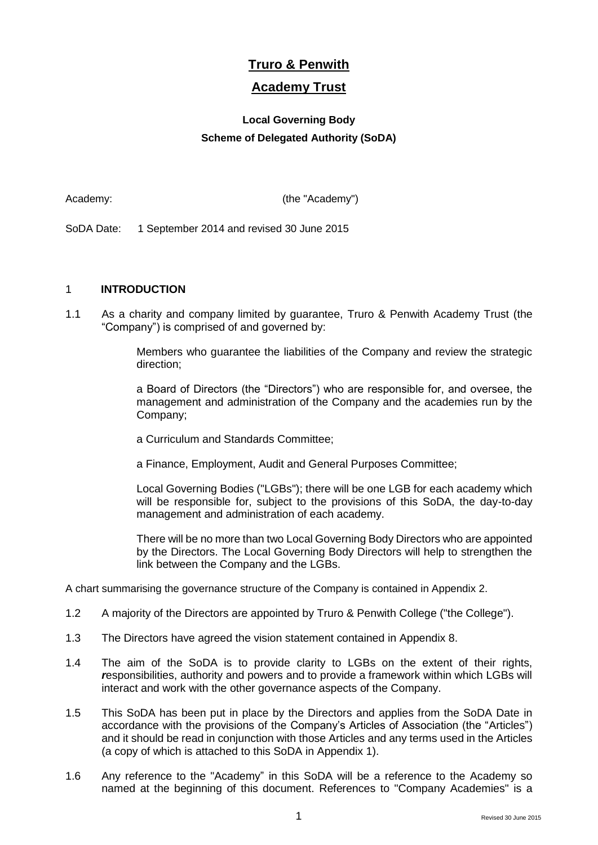# **Truro & Penwith**

## **Academy Trust**

## **Local Governing Body Scheme of Delegated Authority (SoDA)**

Academy: (the "Academy")

SoDA Date: 1 September 2014 and revised 30 June 2015

## 1 **INTRODUCTION**

1.1 As a charity and company limited by guarantee, Truro & Penwith Academy Trust (the "Company") is comprised of and governed by:

> Members who guarantee the liabilities of the Company and review the strategic direction;

> a Board of Directors (the "Directors") who are responsible for, and oversee, the management and administration of the Company and the academies run by the Company;

a Curriculum and Standards Committee;

a Finance, Employment, Audit and General Purposes Committee;

Local Governing Bodies ("LGBs"); there will be one LGB for each academy which will be responsible for, subject to the provisions of this SoDA, the day-to-day management and administration of each academy.

There will be no more than two Local Governing Body Directors who are appointed by the Directors. The Local Governing Body Directors will help to strengthen the link between the Company and the LGBs.

A chart summarising the governance structure of the Company is contained in Appendix 2.

- 1.2 A majority of the Directors are appointed by Truro & Penwith College ("the College").
- 1.3 The Directors have agreed the vision statement contained in Appendix 8.
- 1.4 The aim of the SoDA is to provide clarity to LGBs on the extent of their rights, *r*esponsibilities, authority and powers and to provide a framework within which LGBs will interact and work with the other governance aspects of the Company.
- 1.5 This SoDA has been put in place by the Directors and applies from the SoDA Date in accordance with the provisions of the Company's Articles of Association (the "Articles") and it should be read in conjunction with those Articles and any terms used in the Articles (a copy of which is attached to this SoDA in Appendix 1).
- 1.6 Any reference to the "Academy" in this SoDA will be a reference to the Academy so named at the beginning of this document. References to "Company Academies" is a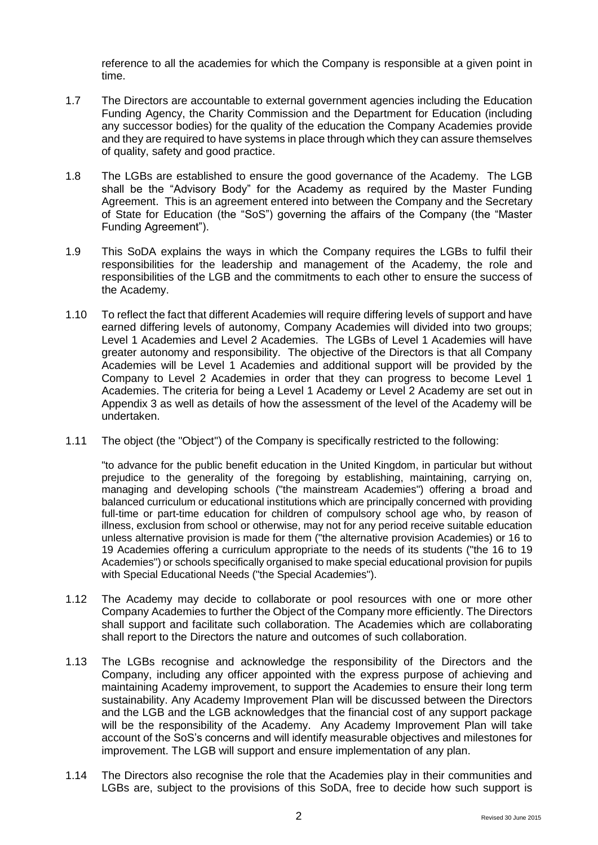reference to all the academies for which the Company is responsible at a given point in time.

- 1.7 The Directors are accountable to external government agencies including the Education Funding Agency, the Charity Commission and the Department for Education (including any successor bodies) for the quality of the education the Company Academies provide and they are required to have systems in place through which they can assure themselves of quality, safety and good practice.
- 1.8 The LGBs are established to ensure the good governance of the Academy. The LGB shall be the "Advisory Body" for the Academy as required by the Master Funding Agreement. This is an agreement entered into between the Company and the Secretary of State for Education (the "SoS") governing the affairs of the Company (the "Master Funding Agreement").
- 1.9 This SoDA explains the ways in which the Company requires the LGBs to fulfil their responsibilities for the leadership and management of the Academy, the role and responsibilities of the LGB and the commitments to each other to ensure the success of the Academy.
- 1.10 To reflect the fact that different Academies will require differing levels of support and have earned differing levels of autonomy, Company Academies will divided into two groups; Level 1 Academies and Level 2 Academies. The LGBs of Level 1 Academies will have greater autonomy and responsibility. The objective of the Directors is that all Company Academies will be Level 1 Academies and additional support will be provided by the Company to Level 2 Academies in order that they can progress to become Level 1 Academies. The criteria for being a Level 1 Academy or Level 2 Academy are set out in Appendix 3 as well as details of how the assessment of the level of the Academy will be undertaken.
- 1.11 The object (the "Object'') of the Company is specifically restricted to the following:

"to advance for the public benefit education in the United Kingdom, in particular but without prejudice to the generality of the foregoing by establishing, maintaining, carrying on, managing and developing schools ("the mainstream Academies") offering a broad and balanced curriculum or educational institutions which are principally concerned with providing full-time or part-time education for children of compulsory school age who, by reason of illness, exclusion from school or otherwise, may not for any period receive suitable education unless alternative provision is made for them ("the alternative provision Academies) or 16 to 19 Academies offering a curriculum appropriate to the needs of its students ("the 16 to 19 Academies") or schools specifically organised to make special educational provision for pupils with Special Educational Needs ("the Special Academies").

- 1.12 The Academy may decide to collaborate or pool resources with one or more other Company Academies to further the Object of the Company more efficiently. The Directors shall support and facilitate such collaboration. The Academies which are collaborating shall report to the Directors the nature and outcomes of such collaboration.
- 1.13 The LGBs recognise and acknowledge the responsibility of the Directors and the Company, including any officer appointed with the express purpose of achieving and maintaining Academy improvement, to support the Academies to ensure their long term sustainability. Any Academy Improvement Plan will be discussed between the Directors and the LGB and the LGB acknowledges that the financial cost of any support package will be the responsibility of the Academy. Any Academy Improvement Plan will take account of the SoS's concerns and will identify measurable objectives and milestones for improvement. The LGB will support and ensure implementation of any plan.
- 1.14 The Directors also recognise the role that the Academies play in their communities and LGBs are, subject to the provisions of this SoDA, free to decide how such support is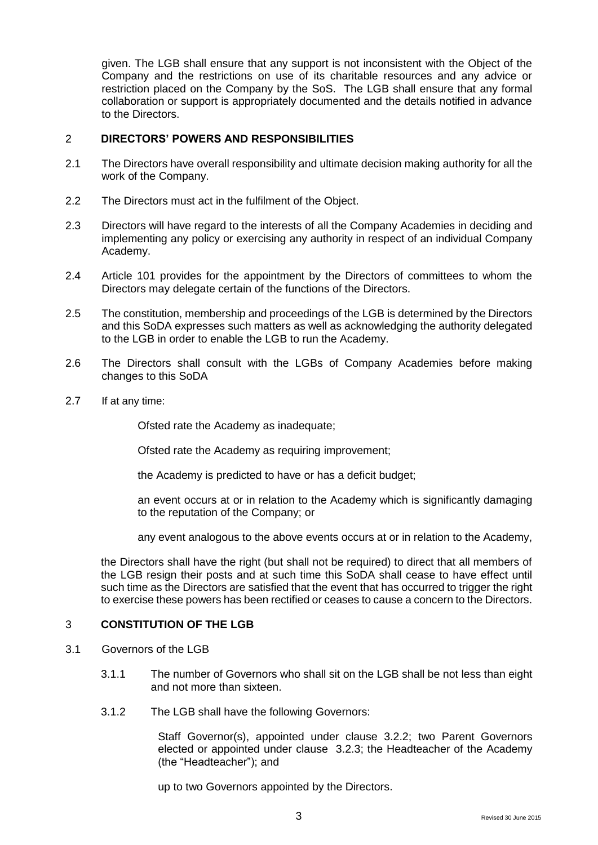given. The LGB shall ensure that any support is not inconsistent with the Object of the Company and the restrictions on use of its charitable resources and any advice or restriction placed on the Company by the SoS. The LGB shall ensure that any formal collaboration or support is appropriately documented and the details notified in advance to the Directors.

#### 2 **DIRECTORS' POWERS AND RESPONSIBILITIES**

- 2.1 The Directors have overall responsibility and ultimate decision making authority for all the work of the Company.
- 2.2 The Directors must act in the fulfilment of the Object.
- 2.3 Directors will have regard to the interests of all the Company Academies in deciding and implementing any policy or exercising any authority in respect of an individual Company Academy.
- 2.4 Article 101 provides for the appointment by the Directors of committees to whom the Directors may delegate certain of the functions of the Directors.
- 2.5 The constitution, membership and proceedings of the LGB is determined by the Directors and this SoDA expresses such matters as well as acknowledging the authority delegated to the LGB in order to enable the LGB to run the Academy.
- 2.6 The Directors shall consult with the LGBs of Company Academies before making changes to this SoDA
- 2.7 If at any time:

Ofsted rate the Academy as inadequate;

Ofsted rate the Academy as requiring improvement;

the Academy is predicted to have or has a deficit budget;

an event occurs at or in relation to the Academy which is significantly damaging to the reputation of the Company; or

any event analogous to the above events occurs at or in relation to the Academy,

the Directors shall have the right (but shall not be required) to direct that all members of the LGB resign their posts and at such time this SoDA shall cease to have effect until such time as the Directors are satisfied that the event that has occurred to trigger the right to exercise these powers has been rectified or ceases to cause a concern to the Directors.

### 3 **CONSTITUTION OF THE LGB**

- 3.1 Governors of the LGB
	- 3.1.1 The number of Governors who shall sit on the LGB shall be not less than eight and not more than sixteen.
	- 3.1.2 The LGB shall have the following Governors:

Staff Governor(s), appointed under clause 3.2.2; two Parent Governors elected or appointed under clause 3.2.3; the Headteacher of the Academy (the "Headteacher"); and

up to two Governors appointed by the Directors.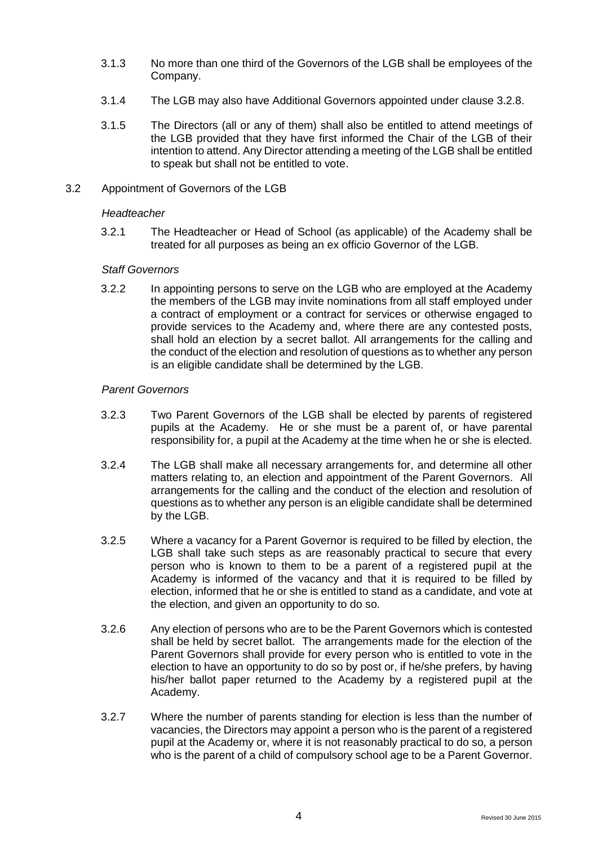- 3.1.3 No more than one third of the Governors of the LGB shall be employees of the Company.
- 3.1.4 The LGB may also have Additional Governors appointed under clause [3.2.8.](#page-4-0)
- 3.1.5 The Directors (all or any of them) shall also be entitled to attend meetings of the LGB provided that they have first informed the Chair of the LGB of their intention to attend. Any Director attending a meeting of the LGB shall be entitled to speak but shall not be entitled to vote.
- 3.2 Appointment of Governors of the LGB

#### *Headteacher*

3.2.1 The Headteacher or Head of School (as applicable) of the Academy shall be treated for all purposes as being an ex officio Governor of the LGB.

#### *Staff Governors*

3.2.2 In appointing persons to serve on the LGB who are employed at the Academy the members of the LGB may invite nominations from all staff employed under a contract of employment or a contract for services or otherwise engaged to provide services to the Academy and, where there are any contested posts, shall hold an election by a secret ballot. All arrangements for the calling and the conduct of the election and resolution of questions as to whether any person is an eligible candidate shall be determined by the LGB.

#### *Parent Governors*

- 3.2.3 Two Parent Governors of the LGB shall be elected by parents of registered pupils at the Academy. He or she must be a parent of, or have parental responsibility for, a pupil at the Academy at the time when he or she is elected.
- 3.2.4 The LGB shall make all necessary arrangements for, and determine all other matters relating to, an election and appointment of the Parent Governors. All arrangements for the calling and the conduct of the election and resolution of questions as to whether any person is an eligible candidate shall be determined by the LGB.
- 3.2.5 Where a vacancy for a Parent Governor is required to be filled by election, the LGB shall take such steps as are reasonably practical to secure that every person who is known to them to be a parent of a registered pupil at the Academy is informed of the vacancy and that it is required to be filled by election, informed that he or she is entitled to stand as a candidate, and vote at the election, and given an opportunity to do so.
- 3.2.6 Any election of persons who are to be the Parent Governors which is contested shall be held by secret ballot. The arrangements made for the election of the Parent Governors shall provide for every person who is entitled to vote in the election to have an opportunity to do so by post or, if he/she prefers, by having his/her ballot paper returned to the Academy by a registered pupil at the Academy.
- 3.2.7 Where the number of parents standing for election is less than the number of vacancies, the Directors may appoint a person who is the parent of a registered pupil at the Academy or, where it is not reasonably practical to do so, a person who is the parent of a child of compulsory school age to be a Parent Governor.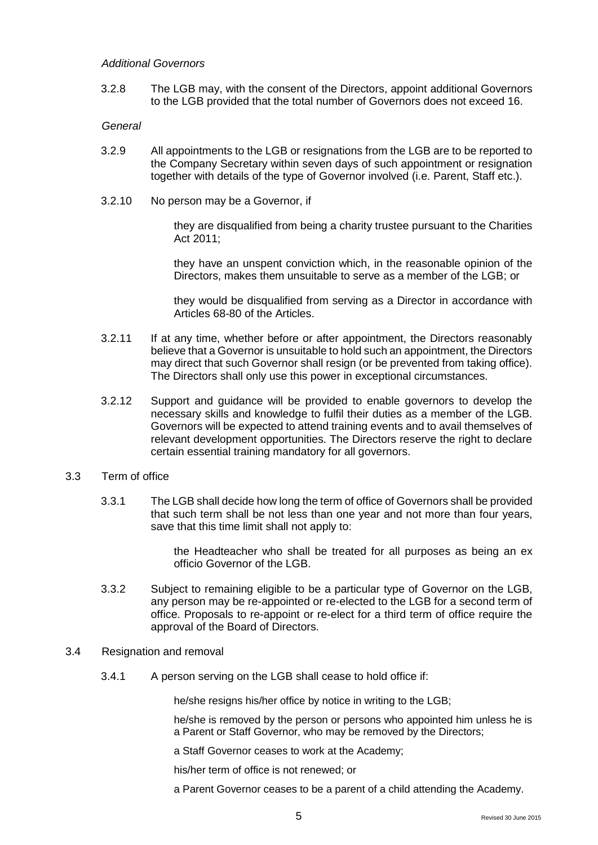#### *Additional Governors*

<span id="page-4-0"></span>3.2.8 The LGB may, with the consent of the Directors, appoint additional Governors to the LGB provided that the total number of Governors does not exceed 16.

#### *General*

- 3.2.9 All appointments to the LGB or resignations from the LGB are to be reported to the Company Secretary within seven days of such appointment or resignation together with details of the type of Governor involved (i.e. Parent, Staff etc.).
- 3.2.10 No person may be a Governor, if

they are disqualified from being a charity trustee pursuant to the Charities Act 2011;

they have an unspent conviction which, in the reasonable opinion of the Directors, makes them unsuitable to serve as a member of the LGB; or

they would be disqualified from serving as a Director in accordance with Articles 68-80 of the Articles.

- 3.2.11 If at any time, whether before or after appointment, the Directors reasonably believe that a Governor is unsuitable to hold such an appointment, the Directors may direct that such Governor shall resign (or be prevented from taking office). The Directors shall only use this power in exceptional circumstances.
- 3.2.12 Support and guidance will be provided to enable governors to develop the necessary skills and knowledge to fulfil their duties as a member of the LGB. Governors will be expected to attend training events and to avail themselves of relevant development opportunities. The Directors reserve the right to declare certain essential training mandatory for all governors.
- 3.3 Term of office
	- 3.3.1 The LGB shall decide how long the term of office of Governors shall be provided that such term shall be not less than one year and not more than four years, save that this time limit shall not apply to:

the Headteacher who shall be treated for all purposes as being an ex officio Governor of the LGB.

3.3.2 Subject to remaining eligible to be a particular type of Governor on the LGB, any person may be re-appointed or re-elected to the LGB for a second term of office. Proposals to re-appoint or re-elect for a third term of office require the approval of the Board of Directors.

#### 3.4 Resignation and removal

3.4.1 A person serving on the LGB shall cease to hold office if:

he/she resigns his/her office by notice in writing to the LGB;

he/she is removed by the person or persons who appointed him unless he is a Parent or Staff Governor, who may be removed by the Directors;

a Staff Governor ceases to work at the Academy;

his/her term of office is not renewed; or

a Parent Governor ceases to be a parent of a child attending the Academy.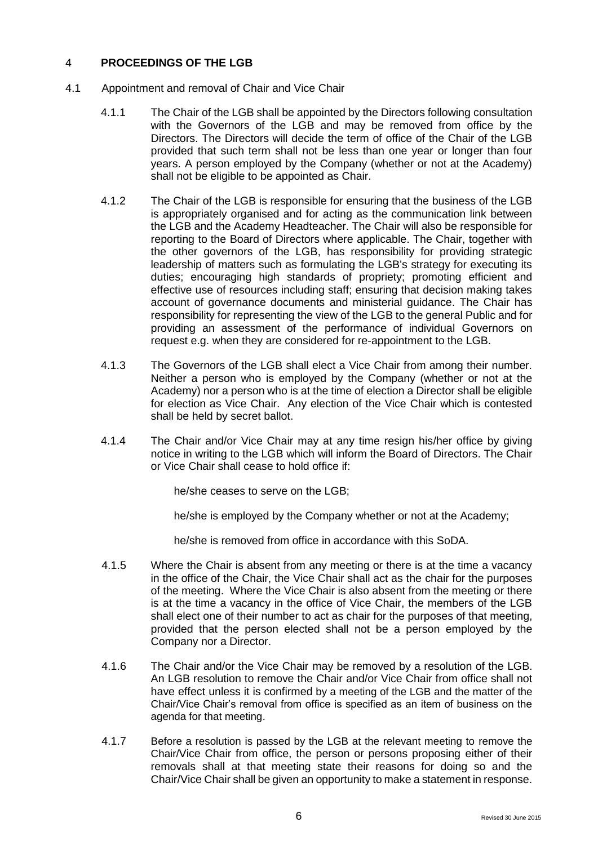## 4 **PROCEEDINGS OF THE LGB**

- 4.1 Appointment and removal of Chair and Vice Chair
	- 4.1.1 The Chair of the LGB shall be appointed by the Directors following consultation with the Governors of the LGB and may be removed from office by the Directors. The Directors will decide the term of office of the Chair of the LGB provided that such term shall not be less than one year or longer than four years. A person employed by the Company (whether or not at the Academy) shall not be eligible to be appointed as Chair.
	- 4.1.2 The Chair of the LGB is responsible for ensuring that the business of the LGB is appropriately organised and for acting as the communication link between the LGB and the Academy Headteacher. The Chair will also be responsible for reporting to the Board of Directors where applicable. The Chair, together with the other governors of the LGB, has responsibility for providing strategic leadership of matters such as formulating the LGB's strategy for executing its duties; encouraging high standards of propriety; promoting efficient and effective use of resources including staff; ensuring that decision making takes account of governance documents and ministerial guidance. The Chair has responsibility for representing the view of the LGB to the general Public and for providing an assessment of the performance of individual Governors on request e.g. when they are considered for re-appointment to the LGB.
	- 4.1.3 The Governors of the LGB shall elect a Vice Chair from among their number. Neither a person who is employed by the Company (whether or not at the Academy) nor a person who is at the time of election a Director shall be eligible for election as Vice Chair. Any election of the Vice Chair which is contested shall be held by secret ballot.
	- 4.1.4 The Chair and/or Vice Chair may at any time resign his/her office by giving notice in writing to the LGB which will inform the Board of Directors. The Chair or Vice Chair shall cease to hold office if:

he/she ceases to serve on the LGB;

he/she is employed by the Company whether or not at the Academy;

he/she is removed from office in accordance with this SoDA.

- 4.1.5 Where the Chair is absent from any meeting or there is at the time a vacancy in the office of the Chair, the Vice Chair shall act as the chair for the purposes of the meeting. Where the Vice Chair is also absent from the meeting or there is at the time a vacancy in the office of Vice Chair, the members of the LGB shall elect one of their number to act as chair for the purposes of that meeting, provided that the person elected shall not be a person employed by the Company nor a Director.
- 4.1.6 The Chair and/or the Vice Chair may be removed by a resolution of the LGB. An LGB resolution to remove the Chair and/or Vice Chair from office shall not have effect unless it is confirmed by a meeting of the LGB and the matter of the Chair/Vice Chair's removal from office is specified as an item of business on the agenda for that meeting.
- 4.1.7 Before a resolution is passed by the LGB at the relevant meeting to remove the Chair/Vice Chair from office, the person or persons proposing either of their removals shall at that meeting state their reasons for doing so and the Chair/Vice Chair shall be given an opportunity to make a statement in response.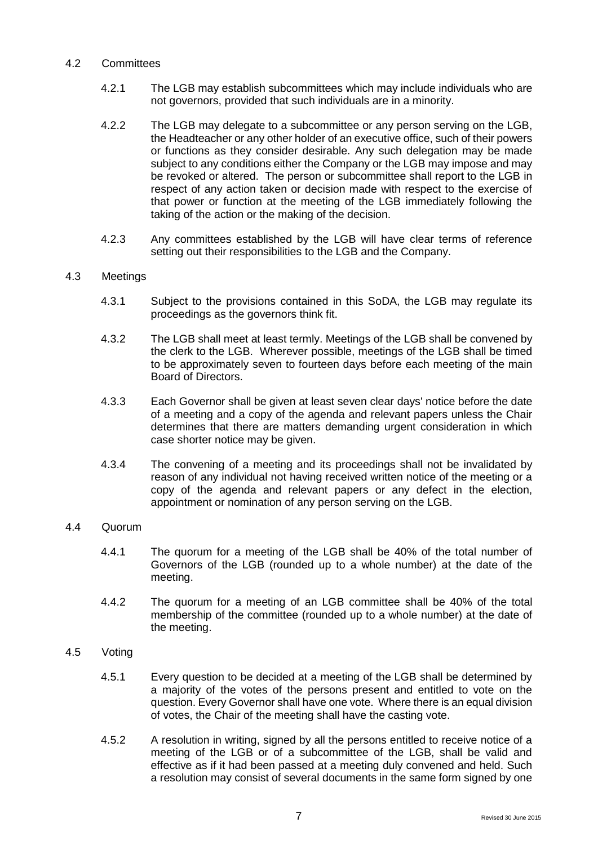### 4.2 Committees

- 4.2.1 The LGB may establish subcommittees which may include individuals who are not governors, provided that such individuals are in a minority.
- 4.2.2 The LGB may delegate to a subcommittee or any person serving on the LGB, the Headteacher or any other holder of an executive office, such of their powers or functions as they consider desirable. Any such delegation may be made subject to any conditions either the Company or the LGB may impose and may be revoked or altered. The person or subcommittee shall report to the LGB in respect of any action taken or decision made with respect to the exercise of that power or function at the meeting of the LGB immediately following the taking of the action or the making of the decision.
- 4.2.3 Any committees established by the LGB will have clear terms of reference setting out their responsibilities to the LGB and the Company.

#### 4.3 Meetings

- 4.3.1 Subject to the provisions contained in this SoDA, the LGB may regulate its proceedings as the governors think fit.
- 4.3.2 The LGB shall meet at least termly. Meetings of the LGB shall be convened by the clerk to the LGB. Wherever possible, meetings of the LGB shall be timed to be approximately seven to fourteen days before each meeting of the main Board of Directors.
- 4.3.3 Each Governor shall be given at least seven clear days' notice before the date of a meeting and a copy of the agenda and relevant papers unless the Chair determines that there are matters demanding urgent consideration in which case shorter notice may be given.
- 4.3.4 The convening of a meeting and its proceedings shall not be invalidated by reason of any individual not having received written notice of the meeting or a copy of the agenda and relevant papers or any defect in the election, appointment or nomination of any person serving on the LGB.

## 4.4 Quorum

- 4.4.1 The quorum for a meeting of the LGB shall be 40% of the total number of Governors of the LGB (rounded up to a whole number) at the date of the meeting.
- 4.4.2 The quorum for a meeting of an LGB committee shall be 40% of the total membership of the committee (rounded up to a whole number) at the date of the meeting.

#### 4.5 Voting

- 4.5.1 Every question to be decided at a meeting of the LGB shall be determined by a majority of the votes of the persons present and entitled to vote on the question. Every Governor shall have one vote. Where there is an equal division of votes, the Chair of the meeting shall have the casting vote.
- 4.5.2 A resolution in writing, signed by all the persons entitled to receive notice of a meeting of the LGB or of a subcommittee of the LGB, shall be valid and effective as if it had been passed at a meeting duly convened and held. Such a resolution may consist of several documents in the same form signed by one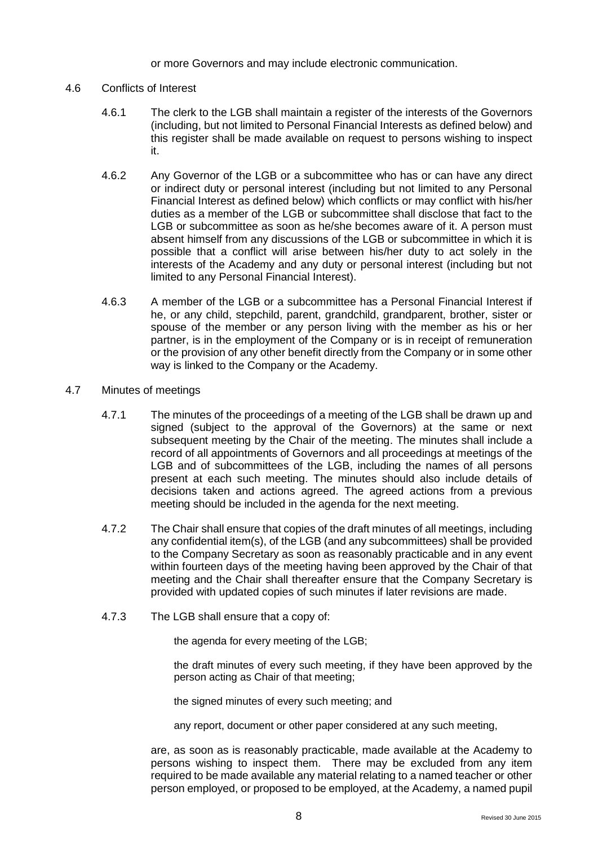or more Governors and may include electronic communication.

#### 4.6 Conflicts of Interest

- 4.6.1 The clerk to the LGB shall maintain a register of the interests of the Governors (including, but not limited to Personal Financial Interests as defined below) and this register shall be made available on request to persons wishing to inspect it.
- 4.6.2 Any Governor of the LGB or a subcommittee who has or can have any direct or indirect duty or personal interest (including but not limited to any Personal Financial Interest as defined below) which conflicts or may conflict with his/her duties as a member of the LGB or subcommittee shall disclose that fact to the LGB or subcommittee as soon as he/she becomes aware of it. A person must absent himself from any discussions of the LGB or subcommittee in which it is possible that a conflict will arise between his/her duty to act solely in the interests of the Academy and any duty or personal interest (including but not limited to any Personal Financial Interest).
- 4.6.3 A member of the LGB or a subcommittee has a Personal Financial Interest if he, or any child, stepchild, parent, grandchild, grandparent, brother, sister or spouse of the member or any person living with the member as his or her partner, is in the employment of the Company or is in receipt of remuneration or the provision of any other benefit directly from the Company or in some other way is linked to the Company or the Academy.

#### 4.7 Minutes of meetings

- 4.7.1 The minutes of the proceedings of a meeting of the LGB shall be drawn up and signed (subject to the approval of the Governors) at the same or next subsequent meeting by the Chair of the meeting. The minutes shall include a record of all appointments of Governors and all proceedings at meetings of the LGB and of subcommittees of the LGB, including the names of all persons present at each such meeting. The minutes should also include details of decisions taken and actions agreed. The agreed actions from a previous meeting should be included in the agenda for the next meeting.
- 4.7.2 The Chair shall ensure that copies of the draft minutes of all meetings, including any confidential item(s), of the LGB (and any subcommittees) shall be provided to the Company Secretary as soon as reasonably practicable and in any event within fourteen days of the meeting having been approved by the Chair of that meeting and the Chair shall thereafter ensure that the Company Secretary is provided with updated copies of such minutes if later revisions are made.
- 4.7.3 The LGB shall ensure that a copy of:

the agenda for every meeting of the LGB;

the draft minutes of every such meeting, if they have been approved by the person acting as Chair of that meeting;

the signed minutes of every such meeting; and

any report, document or other paper considered at any such meeting,

are, as soon as is reasonably practicable, made available at the Academy to persons wishing to inspect them. There may be excluded from any item required to be made available any material relating to a named teacher or other person employed, or proposed to be employed, at the Academy, a named pupil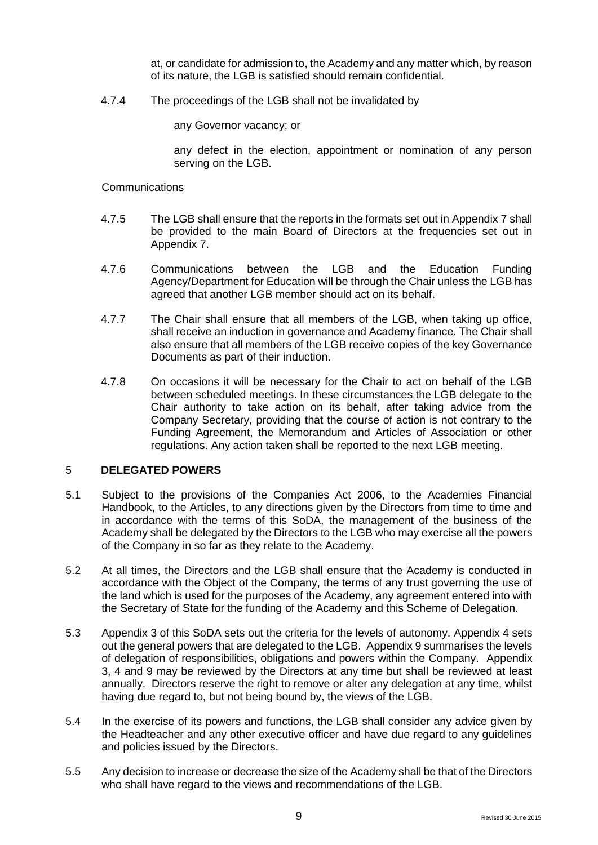at, or candidate for admission to, the Academy and any matter which, by reason of its nature, the LGB is satisfied should remain confidential.

4.7.4 The proceedings of the LGB shall not be invalidated by

any Governor vacancy; or

any defect in the election, appointment or nomination of any person serving on the LGB.

#### **Communications**

- 4.7.5 The LGB shall ensure that the reports in the formats set out in Appendix 7 shall be provided to the main Board of Directors at the frequencies set out in Appendix 7.
- 4.7.6 Communications between the LGB and the Education Funding Agency/Department for Education will be through the Chair unless the LGB has agreed that another LGB member should act on its behalf.
- 4.7.7 The Chair shall ensure that all members of the LGB, when taking up office, shall receive an induction in governance and Academy finance. The Chair shall also ensure that all members of the LGB receive copies of the key Governance Documents as part of their induction.
- 4.7.8 On occasions it will be necessary for the Chair to act on behalf of the LGB between scheduled meetings. In these circumstances the LGB delegate to the Chair authority to take action on its behalf, after taking advice from the Company Secretary, providing that the course of action is not contrary to the Funding Agreement, the Memorandum and Articles of Association or other regulations. Any action taken shall be reported to the next LGB meeting.

#### 5 **DELEGATED POWERS**

- 5.1 Subject to the provisions of the Companies Act 2006, to the Academies Financial Handbook, to the Articles, to any directions given by the Directors from time to time and in accordance with the terms of this SoDA, the management of the business of the Academy shall be delegated by the Directors to the LGB who may exercise all the powers of the Company in so far as they relate to the Academy.
- 5.2 At all times, the Directors and the LGB shall ensure that the Academy is conducted in accordance with the Object of the Company, the terms of any trust governing the use of the land which is used for the purposes of the Academy, any agreement entered into with the Secretary of State for the funding of the Academy and this Scheme of Delegation.
- 5.3 Appendix 3 of this SoDA sets out the criteria for the levels of autonomy. Appendix 4 sets out the general powers that are delegated to the LGB. Appendix 9 summarises the levels of delegation of responsibilities, obligations and powers within the Company. Appendix 3, 4 and 9 may be reviewed by the Directors at any time but shall be reviewed at least annually. Directors reserve the right to remove or alter any delegation at any time, whilst having due regard to, but not being bound by, the views of the LGB.
- 5.4 In the exercise of its powers and functions, the LGB shall consider any advice given by the Headteacher and any other executive officer and have due regard to any guidelines and policies issued by the Directors.
- 5.5 Any decision to increase or decrease the size of the Academy shall be that of the Directors who shall have regard to the views and recommendations of the LGB.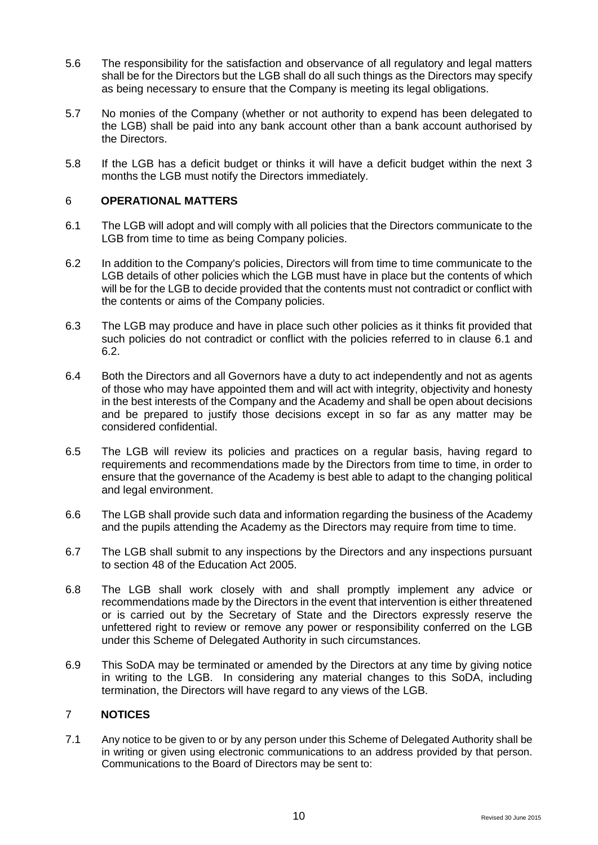- 5.6 The responsibility for the satisfaction and observance of all regulatory and legal matters shall be for the Directors but the LGB shall do all such things as the Directors may specify as being necessary to ensure that the Company is meeting its legal obligations.
- 5.7 No monies of the Company (whether or not authority to expend has been delegated to the LGB) shall be paid into any bank account other than a bank account authorised by the Directors.
- 5.8 If the LGB has a deficit budget or thinks it will have a deficit budget within the next 3 months the LGB must notify the Directors immediately.

## 6 **OPERATIONAL MATTERS**

- 6.1 The LGB will adopt and will comply with all policies that the Directors communicate to the LGB from time to time as being Company policies.
- 6.2 In addition to the Company's policies, Directors will from time to time communicate to the LGB details of other policies which the LGB must have in place but the contents of which will be for the LGB to decide provided that the contents must not contradict or conflict with the contents or aims of the Company policies.
- 6.3 The LGB may produce and have in place such other policies as it thinks fit provided that such policies do not contradict or conflict with the policies referred to in clause 6.1 and 6.2.
- 6.4 Both the Directors and all Governors have a duty to act independently and not as agents of those who may have appointed them and will act with integrity, objectivity and honesty in the best interests of the Company and the Academy and shall be open about decisions and be prepared to justify those decisions except in so far as any matter may be considered confidential.
- 6.5 The LGB will review its policies and practices on a regular basis, having regard to requirements and recommendations made by the Directors from time to time, in order to ensure that the governance of the Academy is best able to adapt to the changing political and legal environment.
- 6.6 The LGB shall provide such data and information regarding the business of the Academy and the pupils attending the Academy as the Directors may require from time to time.
- 6.7 The LGB shall submit to any inspections by the Directors and any inspections pursuant to section 48 of the Education Act 2005.
- 6.8 The LGB shall work closely with and shall promptly implement any advice or recommendations made by the Directors in the event that intervention is either threatened or is carried out by the Secretary of State and the Directors expressly reserve the unfettered right to review or remove any power or responsibility conferred on the LGB under this Scheme of Delegated Authority in such circumstances.
- 6.9 This SoDA may be terminated or amended by the Directors at any time by giving notice in writing to the LGB. In considering any material changes to this SoDA, including termination, the Directors will have regard to any views of the LGB.

#### 7 **NOTICES**

7.1 Any notice to be given to or by any person under this Scheme of Delegated Authority shall be in writing or given using electronic communications to an address provided by that person. Communications to the Board of Directors may be sent to: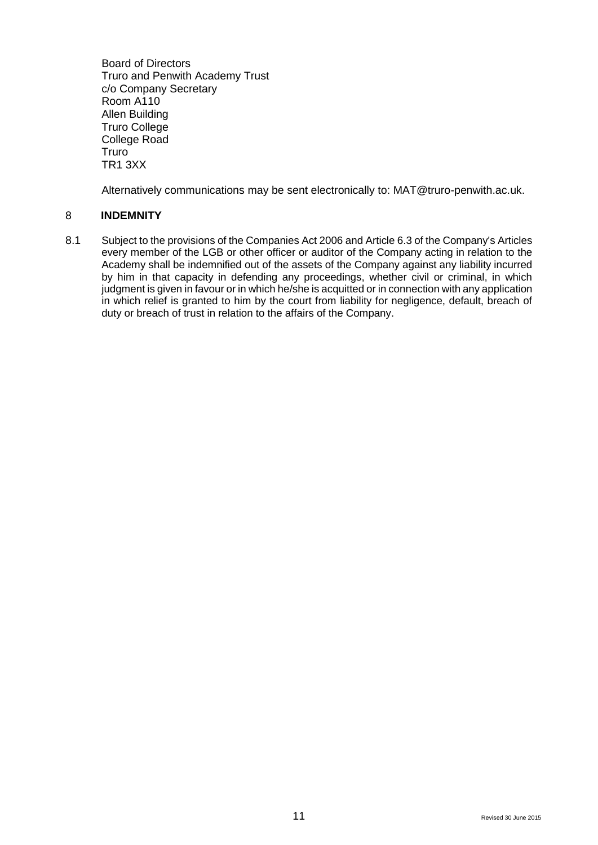Board of Directors Truro and Penwith Academy Trust c/o Company Secretary Room A110 Allen Building Truro College College Road **Truro** TR1 3XX

Alternatively communications may be sent electronically to: MAT@truro-penwith.ac.uk.

## 8 **INDEMNITY**

8.1 Subject to the provisions of the Companies Act 2006 and Article 6.3 of the Company's Articles every member of the LGB or other officer or auditor of the Company acting in relation to the Academy shall be indemnified out of the assets of the Company against any liability incurred by him in that capacity in defending any proceedings, whether civil or criminal, in which judgment is given in favour or in which he/she is acquitted or in connection with any application in which relief is granted to him by the court from liability for negligence, default, breach of duty or breach of trust in relation to the affairs of the Company.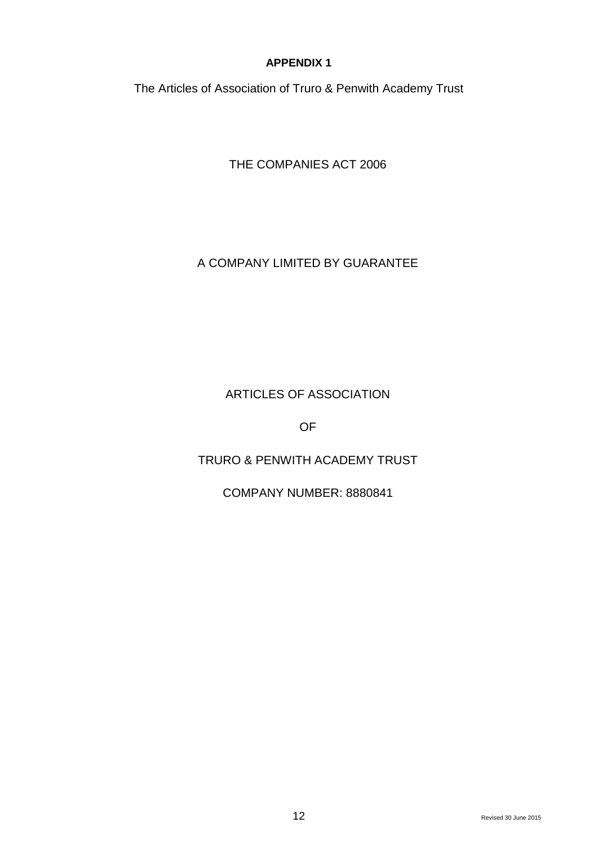The Articles of Association of Truro & Penwith Academy Trust

THE COMPANIES ACT 2006

## A COMPANY LIMITED BY GUARANTEE

# ARTICLES OF ASSOCIATION

OF

# TRURO & PENWITH ACADEMY TRUST

## COMPANY NUMBER: 8880841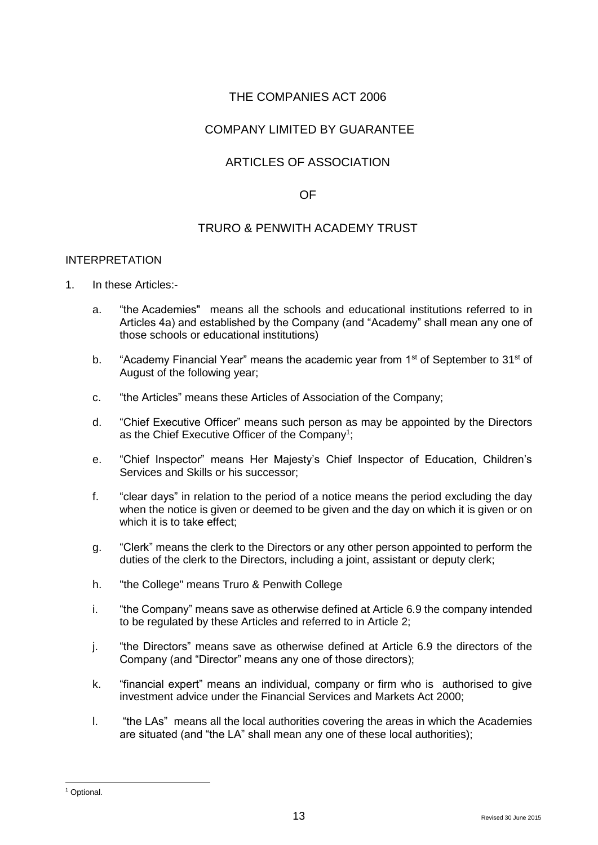## THE COMPANIES ACT 2006

## COMPANY LIMITED BY GUARANTEE

## ARTICLES OF ASSOCIATION

## OF

## TRURO & PENWITH ACADEMY TRUST

#### INTERPRETATION

- 1. In these Articles:
	- a. "the Academies" means all the schools and educational institutions referred to in Articles 4a) and established by the Company (and "Academy" shall mean any one of those schools or educational institutions)
	- b. "Academy Financial Year" means the academic year from  $1<sup>st</sup>$  of September to  $31<sup>st</sup>$  of August of the following year;
	- c. "the Articles" means these Articles of Association of the Company;
	- d. "Chief Executive Officer" means such person as may be appointed by the Directors as the Chief Executive Officer of the Company<sup>1</sup>;
	- e. "Chief Inspector" means Her Majesty's Chief Inspector of Education, Children's Services and Skills or his successor;
	- f. "clear days" in relation to the period of a notice means the period excluding the day when the notice is given or deemed to be given and the day on which it is given or on which it is to take effect:
	- g. "Clerk" means the clerk to the Directors or any other person appointed to perform the duties of the clerk to the Directors, including a joint, assistant or deputy clerk;
	- h. "the College" means Truro & Penwith College
	- i. "the Company" means save as otherwise defined at Article 6.9 the company intended to be regulated by these Articles and referred to in Article 2;
	- j. "the Directors" means save as otherwise defined at Article 6.9 the directors of the Company (and "Director" means any one of those directors);
	- k. "financial expert" means an individual, company or firm who is authorised to give investment advice under the Financial Services and Markets Act 2000;
	- l. "the LAs" means all the local authorities covering the areas in which the Academies are situated (and "the LA" shall mean any one of these local authorities);

 $\overline{a}$ 

<sup>1</sup> Optional.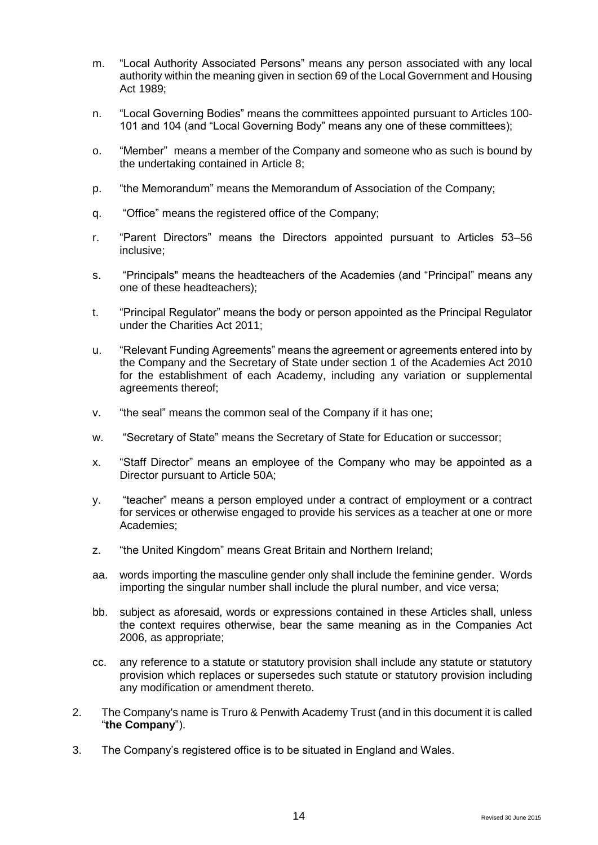- m. "Local Authority Associated Persons" means any person associated with any local authority within the meaning given in section 69 of the Local Government and Housing Act 1989;
- n. "Local Governing Bodies" means the committees appointed pursuant to Articles 100- 101 and 104 (and "Local Governing Body" means any one of these committees);
- o. "Member" means a member of the Company and someone who as such is bound by the undertaking contained in Article 8;
- p. "the Memorandum" means the Memorandum of Association of the Company;
- q. "Office" means the registered office of the Company;
- r. "Parent Directors" means the Directors appointed pursuant to Articles 53–56 inclusive;
- s. "Principals" means the headteachers of the Academies (and "Principal" means any one of these headteachers);
- t. "Principal Regulator" means the body or person appointed as the Principal Regulator under the Charities Act 2011;
- u. "Relevant Funding Agreements" means the agreement or agreements entered into by the Company and the Secretary of State under section 1 of the Academies Act 2010 for the establishment of each Academy, including any variation or supplemental agreements thereof;
- v. "the seal" means the common seal of the Company if it has one;
- w. "Secretary of State" means the Secretary of State for Education or successor;
- x. "Staff Director" means an employee of the Company who may be appointed as a Director pursuant to Article 50A;
- y. "teacher" means a person employed under a contract of employment or a contract for services or otherwise engaged to provide his services as a teacher at one or more Academies;
- z. "the United Kingdom" means Great Britain and Northern Ireland;
- aa. words importing the masculine gender only shall include the feminine gender. Words importing the singular number shall include the plural number, and vice versa;
- bb. subject as aforesaid, words or expressions contained in these Articles shall, unless the context requires otherwise, bear the same meaning as in the Companies Act 2006, as appropriate;
- cc. any reference to a statute or statutory provision shall include any statute or statutory provision which replaces or supersedes such statute or statutory provision including any modification or amendment thereto.
- 2. The Company's name is Truro & Penwith Academy Trust (and in this document it is called "**the Company**").
- 3. The Company's registered office is to be situated in England and Wales.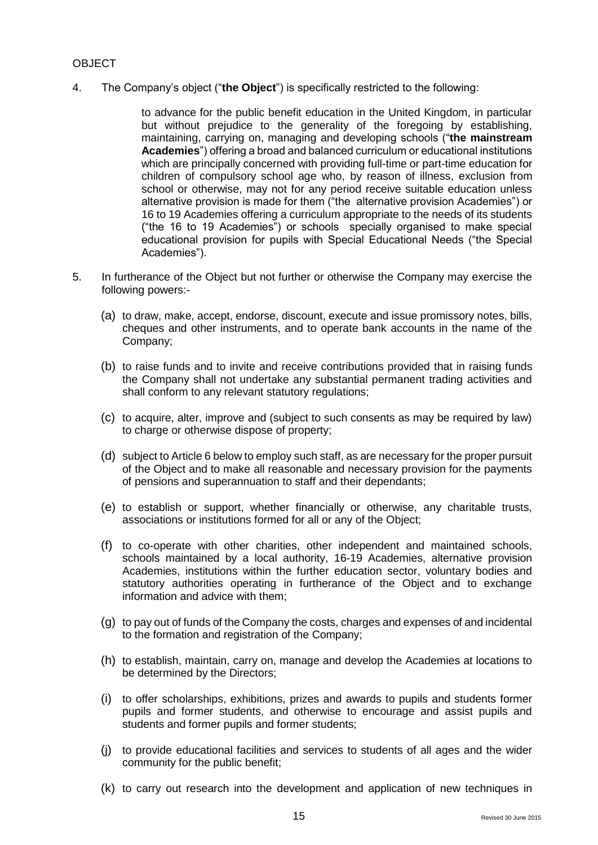## OBJECT

4. The Company's object ("**the Object**") is specifically restricted to the following:

to advance for the public benefit education in the United Kingdom, in particular but without prejudice to the generality of the foregoing by establishing, maintaining, carrying on, managing and developing schools ("**the mainstream Academies**") offering a broad and balanced curriculum or educational institutions which are principally concerned with providing full-time or part-time education for children of compulsory school age who, by reason of illness, exclusion from school or otherwise, may not for any period receive suitable education unless alternative provision is made for them ("the alternative provision Academies") or 16 to 19 Academies offering a curriculum appropriate to the needs of its students ("the 16 to 19 Academies") or schools specially organised to make special educational provision for pupils with Special Educational Needs ("the Special Academies").

- 5. In furtherance of the Object but not further or otherwise the Company may exercise the following powers:-
	- (a) to draw, make, accept, endorse, discount, execute and issue promissory notes, bills, cheques and other instruments, and to operate bank accounts in the name of the Company;
	- (b) to raise funds and to invite and receive contributions provided that in raising funds the Company shall not undertake any substantial permanent trading activities and shall conform to any relevant statutory regulations;
	- (c) to acquire, alter, improve and (subject to such consents as may be required by law) to charge or otherwise dispose of property;
	- (d) subject to Article 6 below to employ such staff, as are necessary for the proper pursuit of the Object and to make all reasonable and necessary provision for the payments of pensions and superannuation to staff and their dependants;
	- (e) to establish or support, whether financially or otherwise, any charitable trusts, associations or institutions formed for all or any of the Object;
	- (f) to co-operate with other charities, other independent and maintained schools, schools maintained by a local authority, 16-19 Academies, alternative provision Academies, institutions within the further education sector, voluntary bodies and statutory authorities operating in furtherance of the Object and to exchange information and advice with them;
	- (g) to pay out of funds of the Company the costs, charges and expenses of and incidental to the formation and registration of the Company;
	- (h) to establish, maintain, carry on, manage and develop the Academies at locations to be determined by the Directors;
	- (i) to offer scholarships, exhibitions, prizes and awards to pupils and students former pupils and former students, and otherwise to encourage and assist pupils and students and former pupils and former students;
	- (j) to provide educational facilities and services to students of all ages and the wider community for the public benefit;
	- (k) to carry out research into the development and application of new techniques in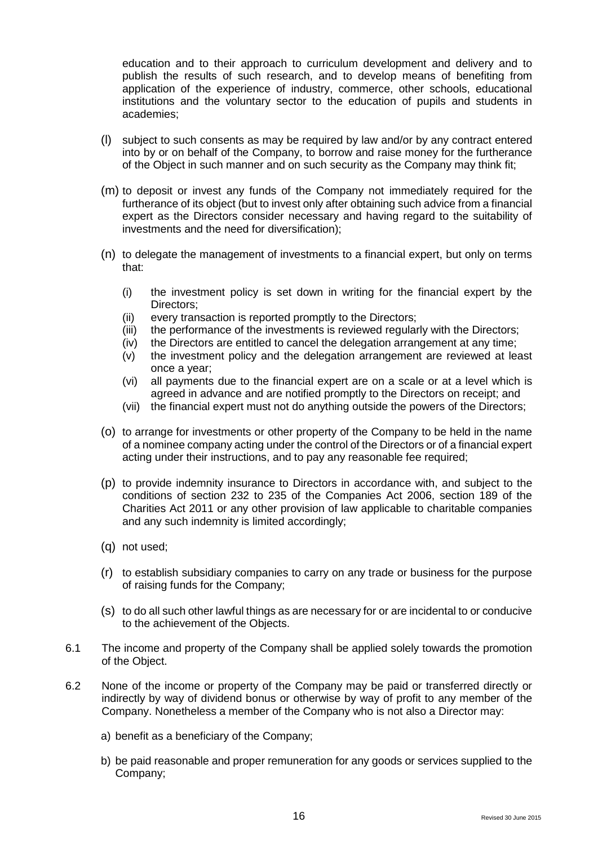education and to their approach to curriculum development and delivery and to publish the results of such research, and to develop means of benefiting from application of the experience of industry, commerce, other schools, educational institutions and the voluntary sector to the education of pupils and students in academies;

- (l) subject to such consents as may be required by law and/or by any contract entered into by or on behalf of the Company, to borrow and raise money for the furtherance of the Object in such manner and on such security as the Company may think fit;
- (m) to deposit or invest any funds of the Company not immediately required for the furtherance of its object (but to invest only after obtaining such advice from a financial expert as the Directors consider necessary and having regard to the suitability of investments and the need for diversification);
- (n) to delegate the management of investments to a financial expert, but only on terms that:
	- (i) the investment policy is set down in writing for the financial expert by the Directors;
	- (ii) every transaction is reported promptly to the Directors;
	- (iii) the performance of the investments is reviewed regularly with the Directors;
	- (iv) the Directors are entitled to cancel the delegation arrangement at any time;
	- (v) the investment policy and the delegation arrangement are reviewed at least once a year;
	- (vi) all payments due to the financial expert are on a scale or at a level which is agreed in advance and are notified promptly to the Directors on receipt; and
	- (vii) the financial expert must not do anything outside the powers of the Directors;
- (o) to arrange for investments or other property of the Company to be held in the name of a nominee company acting under the control of the Directors or of a financial expert acting under their instructions, and to pay any reasonable fee required;
- (p) to provide indemnity insurance to Directors in accordance with, and subject to the conditions of section 232 to 235 of the Companies Act 2006, section 189 of the Charities Act 2011 or any other provision of law applicable to charitable companies and any such indemnity is limited accordingly;
- (q) not used;
- (r) to establish subsidiary companies to carry on any trade or business for the purpose of raising funds for the Company;
- (s) to do all such other lawful things as are necessary for or are incidental to or conducive to the achievement of the Objects.
- 6.1 The income and property of the Company shall be applied solely towards the promotion of the Object.
- 6.2 None of the income or property of the Company may be paid or transferred directly or indirectly by way of dividend bonus or otherwise by way of profit to any member of the Company. Nonetheless a member of the Company who is not also a Director may:
	- a) benefit as a beneficiary of the Company;
	- b) be paid reasonable and proper remuneration for any goods or services supplied to the Company;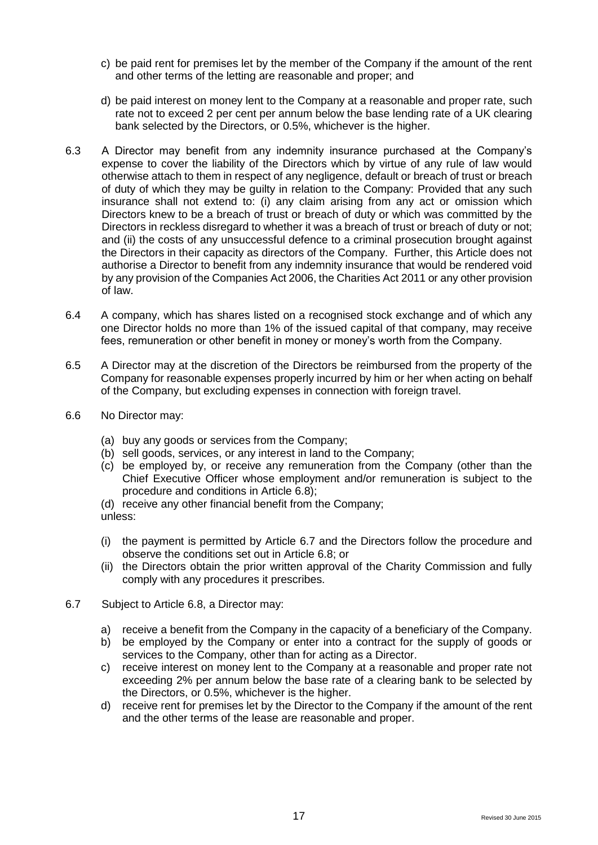- c) be paid rent for premises let by the member of the Company if the amount of the rent and other terms of the letting are reasonable and proper; and
- d) be paid interest on money lent to the Company at a reasonable and proper rate, such rate not to exceed 2 per cent per annum below the base lending rate of a UK clearing bank selected by the Directors, or 0.5%, whichever is the higher.
- 6.3 A Director may benefit from any indemnity insurance purchased at the Company's expense to cover the liability of the Directors which by virtue of any rule of law would otherwise attach to them in respect of any negligence, default or breach of trust or breach of duty of which they may be guilty in relation to the Company: Provided that any such insurance shall not extend to: (i) any claim arising from any act or omission which Directors knew to be a breach of trust or breach of duty or which was committed by the Directors in reckless disregard to whether it was a breach of trust or breach of duty or not; and (ii) the costs of any unsuccessful defence to a criminal prosecution brought against the Directors in their capacity as directors of the Company. Further, this Article does not authorise a Director to benefit from any indemnity insurance that would be rendered void by any provision of the Companies Act 2006, the Charities Act 2011 or any other provision of law.
- 6.4 A company, which has shares listed on a recognised stock exchange and of which any one Director holds no more than 1% of the issued capital of that company, may receive fees, remuneration or other benefit in money or money's worth from the Company.
- 6.5 A Director may at the discretion of the Directors be reimbursed from the property of the Company for reasonable expenses properly incurred by him or her when acting on behalf of the Company, but excluding expenses in connection with foreign travel.
- 6.6 No Director may:
	- (a) buy any goods or services from the Company;
	- (b) sell goods, services, or any interest in land to the Company;
	- (c) be employed by, or receive any remuneration from the Company (other than the Chief Executive Officer whose employment and/or remuneration is subject to the procedure and conditions in Article 6.8);
	- (d) receive any other financial benefit from the Company; unless:
	- (i) the payment is permitted by Article 6.7 and the Directors follow the procedure and observe the conditions set out in Article 6.8; or
	- (ii) the Directors obtain the prior written approval of the Charity Commission and fully comply with any procedures it prescribes.
- 6.7 Subject to Article 6.8, a Director may:
	- a) receive a benefit from the Company in the capacity of a beneficiary of the Company.
	- b) be employed by the Company or enter into a contract for the supply of goods or services to the Company, other than for acting as a Director.
	- c) receive interest on money lent to the Company at a reasonable and proper rate not exceeding 2% per annum below the base rate of a clearing bank to be selected by the Directors, or 0.5%, whichever is the higher.
	- d) receive rent for premises let by the Director to the Company if the amount of the rent and the other terms of the lease are reasonable and proper.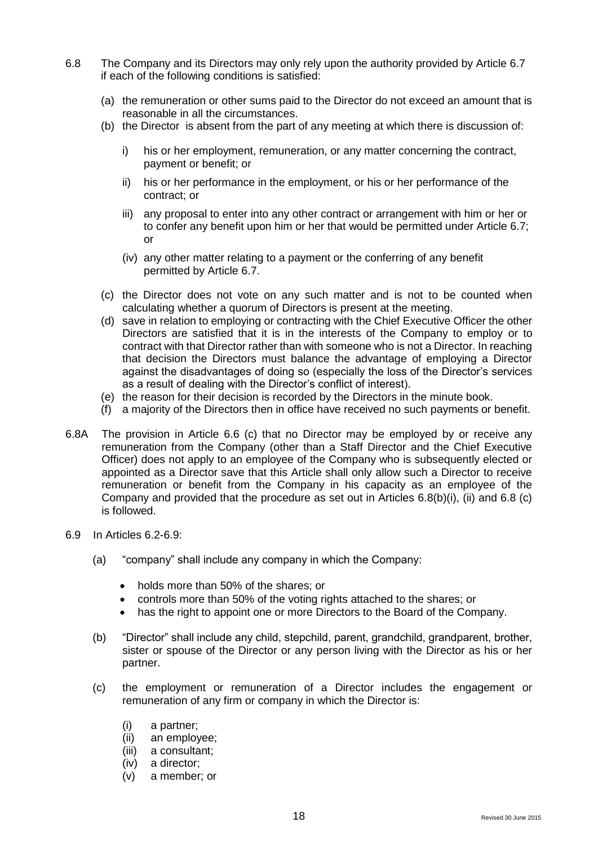- 6.8 The Company and its Directors may only rely upon the authority provided by Article 6.7 if each of the following conditions is satisfied:
	- (a) the remuneration or other sums paid to the Director do not exceed an amount that is reasonable in all the circumstances.
	- (b) the Director is absent from the part of any meeting at which there is discussion of:
		- i) his or her employment, remuneration, or any matter concerning the contract, payment or benefit; or
		- ii) his or her performance in the employment, or his or her performance of the contract; or
		- iii) any proposal to enter into any other contract or arrangement with him or her or to confer any benefit upon him or her that would be permitted under Article 6.7; or
		- (iv) any other matter relating to a payment or the conferring of any benefit permitted by Article 6.7.
	- (c) the Director does not vote on any such matter and is not to be counted when calculating whether a quorum of Directors is present at the meeting.
	- (d) save in relation to employing or contracting with the Chief Executive Officer the other Directors are satisfied that it is in the interests of the Company to employ or to contract with that Director rather than with someone who is not a Director. In reaching that decision the Directors must balance the advantage of employing a Director against the disadvantages of doing so (especially the loss of the Director's services as a result of dealing with the Director's conflict of interest).
	- (e) the reason for their decision is recorded by the Directors in the minute book.
	- (f) a majority of the Directors then in office have received no such payments or benefit.
- 6.8A The provision in Article 6.6 (c) that no Director may be employed by or receive any remuneration from the Company (other than a Staff Director and the Chief Executive Officer) does not apply to an employee of the Company who is subsequently elected or appointed as a Director save that this Article shall only allow such a Director to receive remuneration or benefit from the Company in his capacity as an employee of the Company and provided that the procedure as set out in Articles 6.8(b)(i), (ii) and 6.8 (c) is followed.
- 6.9 In Articles 6.2-6.9:
	- (a) "company" shall include any company in which the Company:
		- holds more than 50% of the shares; or
		- controls more than 50% of the voting rights attached to the shares; or
		- has the right to appoint one or more Directors to the Board of the Company.
	- (b) "Director" shall include any child, stepchild, parent, grandchild, grandparent, brother, sister or spouse of the Director or any person living with the Director as his or her partner.
	- (c) the employment or remuneration of a Director includes the engagement or remuneration of any firm or company in which the Director is:
		- (i) a partner;
		- (ii) an employee;
		- (iii) a consultant;
		- (iv) a director;
		- (v) a member; or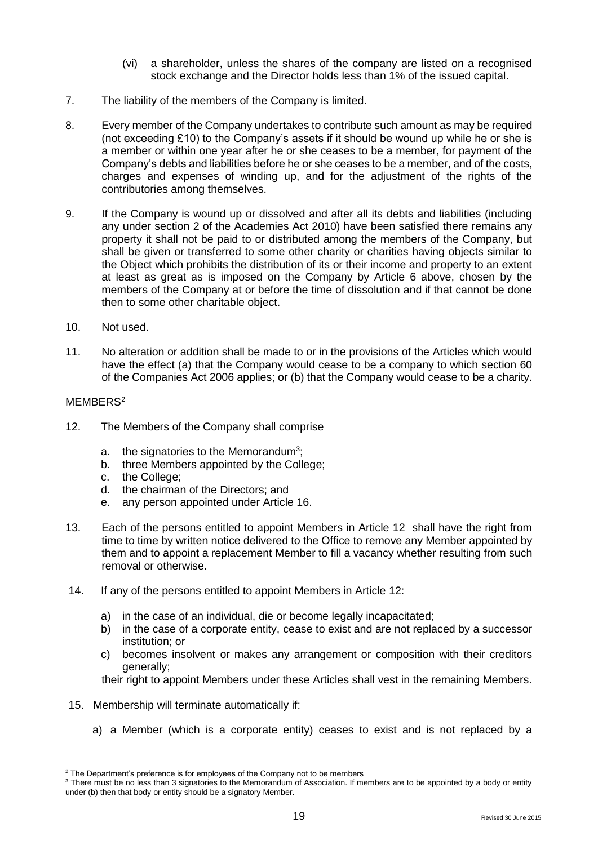- (vi) a shareholder, unless the shares of the company are listed on a recognised stock exchange and the Director holds less than 1% of the issued capital.
- 7. The liability of the members of the Company is limited.
- 8. Every member of the Company undertakes to contribute such amount as may be required (not exceeding £10) to the Company's assets if it should be wound up while he or she is a member or within one year after he or she ceases to be a member, for payment of the Company's debts and liabilities before he or she ceases to be a member, and of the costs, charges and expenses of winding up, and for the adjustment of the rights of the contributories among themselves.
- 9. If the Company is wound up or dissolved and after all its debts and liabilities (including any under section 2 of the Academies Act 2010) have been satisfied there remains any property it shall not be paid to or distributed among the members of the Company, but shall be given or transferred to some other charity or charities having objects similar to the Object which prohibits the distribution of its or their income and property to an extent at least as great as is imposed on the Company by Article 6 above, chosen by the members of the Company at or before the time of dissolution and if that cannot be done then to some other charitable object.
- 10. Not used.
- 11. No alteration or addition shall be made to or in the provisions of the Articles which would have the effect (a) that the Company would cease to be a company to which section 60 of the Companies Act 2006 applies; or (b) that the Company would cease to be a charity.

## MEMBER<sub>S<sup>2</sup></sub>

 $\overline{a}$ 

- 12. The Members of the Company shall comprise
	- a. the signatories to the Memorandum<sup>3</sup>;
	- b. three Members appointed by the College;
	- c. the College;
	- d. the chairman of the Directors; and
	- e. any person appointed under Article 16.
- 13. Each of the persons entitled to appoint Members in Article 12 shall have the right from time to time by written notice delivered to the Office to remove any Member appointed by them and to appoint a replacement Member to fill a vacancy whether resulting from such removal or otherwise.
- 14. If any of the persons entitled to appoint Members in Article 12:
	- a) in the case of an individual, die or become legally incapacitated;
	- b) in the case of a corporate entity, cease to exist and are not replaced by a successor institution; or
	- c) becomes insolvent or makes any arrangement or composition with their creditors generally;
	- their right to appoint Members under these Articles shall vest in the remaining Members.
- 15. Membership will terminate automatically if:
	- a) a Member (which is a corporate entity) ceases to exist and is not replaced by a

 $2$  The Department's preference is for employees of the Company not to be members

<sup>&</sup>lt;sup>3</sup> There must be no less than 3 signatories to the Memorandum of Association. If members are to be appointed by a body or entity under (b) then that body or entity should be a signatory Member.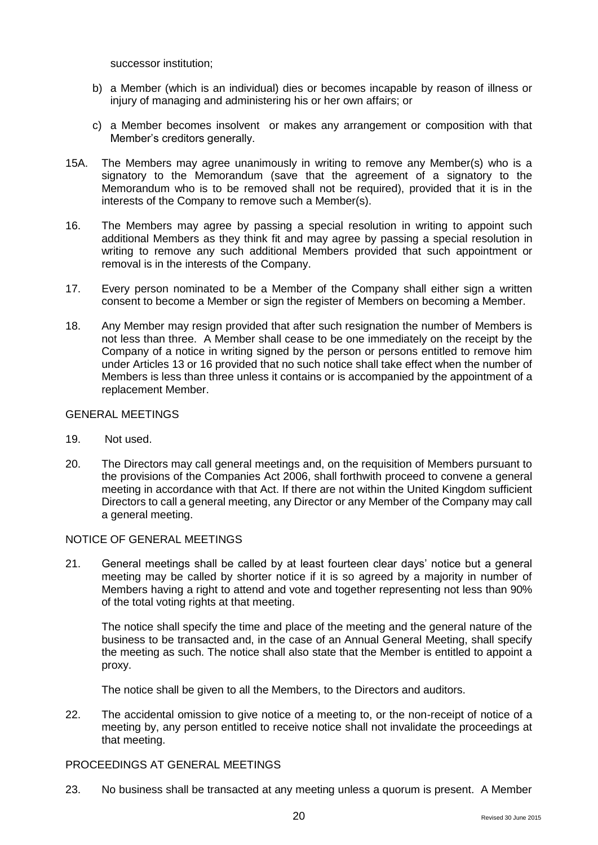successor institution;

- b) a Member (which is an individual) dies or becomes incapable by reason of illness or injury of managing and administering his or her own affairs; or
- c) a Member becomes insolvent or makes any arrangement or composition with that Member's creditors generally.
- 15A. The Members may agree unanimously in writing to remove any Member(s) who is a signatory to the Memorandum (save that the agreement of a signatory to the Memorandum who is to be removed shall not be required), provided that it is in the interests of the Company to remove such a Member(s).
- 16. The Members may agree by passing a special resolution in writing to appoint such additional Members as they think fit and may agree by passing a special resolution in writing to remove any such additional Members provided that such appointment or removal is in the interests of the Company.
- 17. Every person nominated to be a Member of the Company shall either sign a written consent to become a Member or sign the register of Members on becoming a Member.
- 18. Any Member may resign provided that after such resignation the number of Members is not less than three. A Member shall cease to be one immediately on the receipt by the Company of a notice in writing signed by the person or persons entitled to remove him under Articles 13 or 16 provided that no such notice shall take effect when the number of Members is less than three unless it contains or is accompanied by the appointment of a replacement Member.

## GENERAL MEETINGS

- 19. Not used.
- 20. The Directors may call general meetings and, on the requisition of Members pursuant to the provisions of the Companies Act 2006, shall forthwith proceed to convene a general meeting in accordance with that Act. If there are not within the United Kingdom sufficient Directors to call a general meeting, any Director or any Member of the Company may call a general meeting.

## NOTICE OF GENERAL MEETINGS

21. General meetings shall be called by at least fourteen clear days' notice but a general meeting may be called by shorter notice if it is so agreed by a majority in number of Members having a right to attend and vote and together representing not less than 90% of the total voting rights at that meeting.

The notice shall specify the time and place of the meeting and the general nature of the business to be transacted and, in the case of an Annual General Meeting, shall specify the meeting as such. The notice shall also state that the Member is entitled to appoint a proxy.

The notice shall be given to all the Members, to the Directors and auditors.

22. The accidental omission to give notice of a meeting to, or the non-receipt of notice of a meeting by, any person entitled to receive notice shall not invalidate the proceedings at that meeting.

#### PROCEEDINGS AT GENERAL MEETINGS

23. No business shall be transacted at any meeting unless a quorum is present. A Member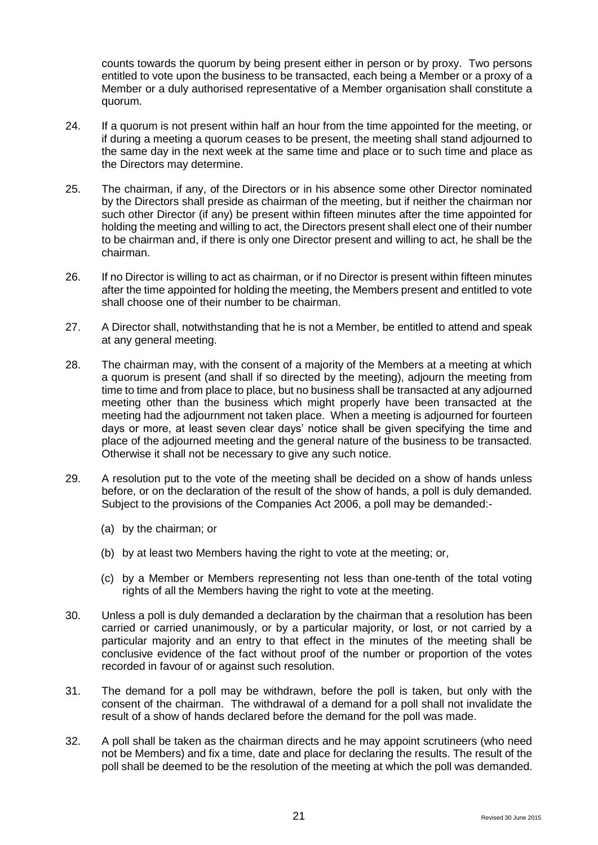counts towards the quorum by being present either in person or by proxy. Two persons entitled to vote upon the business to be transacted, each being a Member or a proxy of a Member or a duly authorised representative of a Member organisation shall constitute a quorum.

- 24. If a quorum is not present within half an hour from the time appointed for the meeting, or if during a meeting a quorum ceases to be present, the meeting shall stand adjourned to the same day in the next week at the same time and place or to such time and place as the Directors may determine.
- 25. The chairman, if any, of the Directors or in his absence some other Director nominated by the Directors shall preside as chairman of the meeting, but if neither the chairman nor such other Director (if any) be present within fifteen minutes after the time appointed for holding the meeting and willing to act, the Directors present shall elect one of their number to be chairman and, if there is only one Director present and willing to act, he shall be the chairman.
- 26. If no Director is willing to act as chairman, or if no Director is present within fifteen minutes after the time appointed for holding the meeting, the Members present and entitled to vote shall choose one of their number to be chairman.
- 27. A Director shall, notwithstanding that he is not a Member, be entitled to attend and speak at any general meeting.
- 28. The chairman may, with the consent of a majority of the Members at a meeting at which a quorum is present (and shall if so directed by the meeting), adjourn the meeting from time to time and from place to place, but no business shall be transacted at any adjourned meeting other than the business which might properly have been transacted at the meeting had the adjournment not taken place. When a meeting is adjourned for fourteen days or more, at least seven clear days' notice shall be given specifying the time and place of the adjourned meeting and the general nature of the business to be transacted. Otherwise it shall not be necessary to give any such notice.
- 29. A resolution put to the vote of the meeting shall be decided on a show of hands unless before, or on the declaration of the result of the show of hands, a poll is duly demanded. Subject to the provisions of the Companies Act 2006, a poll may be demanded:-
	- (a) by the chairman; or
	- (b) by at least two Members having the right to vote at the meeting; or,
	- (c) by a Member or Members representing not less than one-tenth of the total voting rights of all the Members having the right to vote at the meeting.
- 30. Unless a poll is duly demanded a declaration by the chairman that a resolution has been carried or carried unanimously, or by a particular majority, or lost, or not carried by a particular majority and an entry to that effect in the minutes of the meeting shall be conclusive evidence of the fact without proof of the number or proportion of the votes recorded in favour of or against such resolution.
- 31. The demand for a poll may be withdrawn, before the poll is taken, but only with the consent of the chairman. The withdrawal of a demand for a poll shall not invalidate the result of a show of hands declared before the demand for the poll was made.
- 32. A poll shall be taken as the chairman directs and he may appoint scrutineers (who need not be Members) and fix a time, date and place for declaring the results. The result of the poll shall be deemed to be the resolution of the meeting at which the poll was demanded.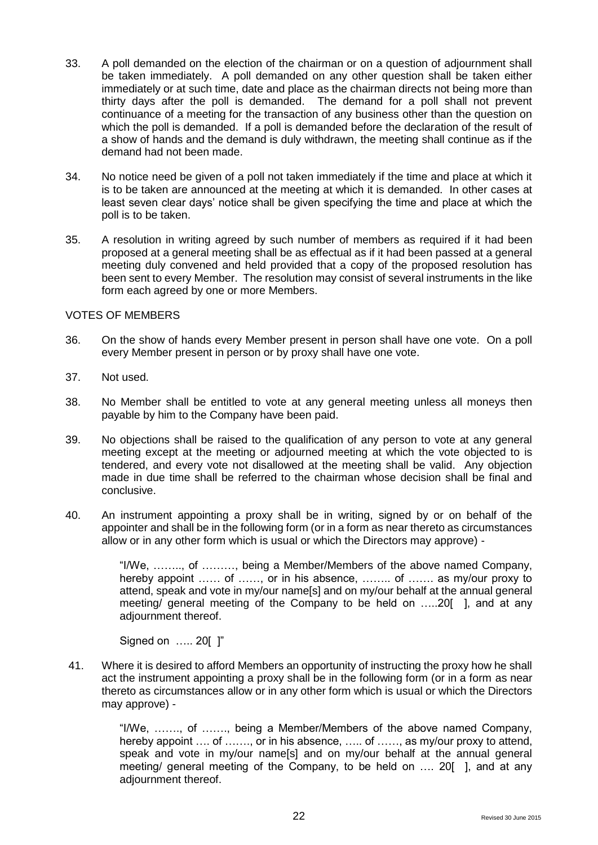- 33. A poll demanded on the election of the chairman or on a question of adjournment shall be taken immediately. A poll demanded on any other question shall be taken either immediately or at such time, date and place as the chairman directs not being more than thirty days after the poll is demanded. The demand for a poll shall not prevent continuance of a meeting for the transaction of any business other than the question on which the poll is demanded. If a poll is demanded before the declaration of the result of a show of hands and the demand is duly withdrawn, the meeting shall continue as if the demand had not been made.
- 34. No notice need be given of a poll not taken immediately if the time and place at which it is to be taken are announced at the meeting at which it is demanded. In other cases at least seven clear days' notice shall be given specifying the time and place at which the poll is to be taken.
- 35. A resolution in writing agreed by such number of members as required if it had been proposed at a general meeting shall be as effectual as if it had been passed at a general meeting duly convened and held provided that a copy of the proposed resolution has been sent to every Member. The resolution may consist of several instruments in the like form each agreed by one or more Members.

## VOTES OF MEMBERS

- 36. On the show of hands every Member present in person shall have one vote. On a poll every Member present in person or by proxy shall have one vote.
- 37. Not used.
- 38. No Member shall be entitled to vote at any general meeting unless all moneys then payable by him to the Company have been paid.
- 39. No objections shall be raised to the qualification of any person to vote at any general meeting except at the meeting or adjourned meeting at which the vote objected to is tendered, and every vote not disallowed at the meeting shall be valid. Any objection made in due time shall be referred to the chairman whose decision shall be final and conclusive.
- 40. An instrument appointing a proxy shall be in writing, signed by or on behalf of the appointer and shall be in the following form (or in a form as near thereto as circumstances allow or in any other form which is usual or which the Directors may approve) -

"I/We, …….., of ………, being a Member/Members of the above named Company, hereby appoint …… of ……, or in his absence, ……, of ……, as my/our proxy to attend, speak and vote in my/our name[s] and on my/our behalf at the annual general meeting/ general meeting of the Company to be held on …..20[ ], and at any adjournment thereof.

Signed on ….. 20[ ]"

41. Where it is desired to afford Members an opportunity of instructing the proxy how he shall act the instrument appointing a proxy shall be in the following form (or in a form as near thereto as circumstances allow or in any other form which is usual or which the Directors may approve) -

> "I/We, ……., of ……., being a Member/Members of the above named Company, hereby appoint .... of …...., or in his absence, ….. of …..., as my/our proxy to attend, speak and vote in my/our name[s] and on my/our behalf at the annual general meeting/ general meeting of the Company, to be held on …. 20[ ], and at any adjournment thereof.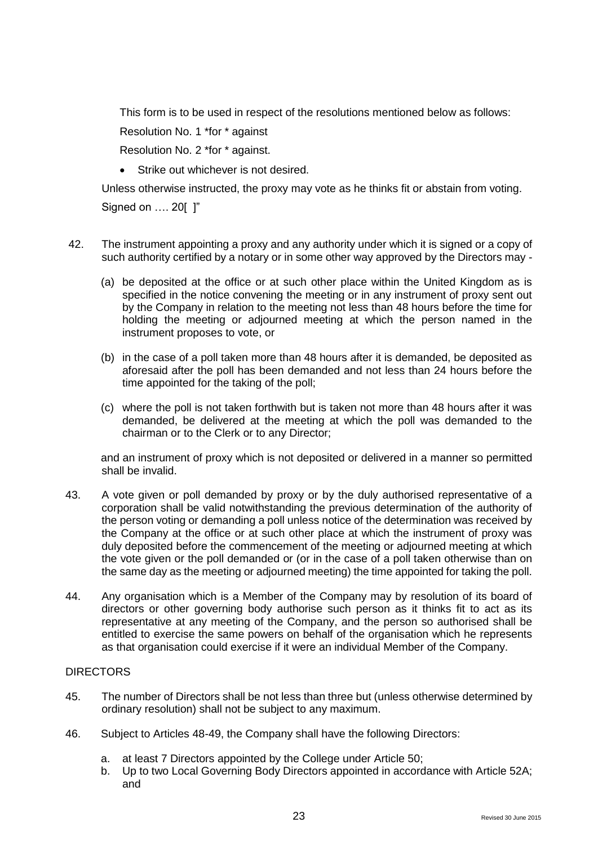This form is to be used in respect of the resolutions mentioned below as follows:

Resolution No. 1 \*for \* against

Resolution No. 2 \*for \* against.

• Strike out whichever is not desired.

Unless otherwise instructed, the proxy may vote as he thinks fit or abstain from voting. Signed on …. 20[ ]"

- 42. The instrument appointing a proxy and any authority under which it is signed or a copy of such authority certified by a notary or in some other way approved by the Directors may -
	- (a) be deposited at the office or at such other place within the United Kingdom as is specified in the notice convening the meeting or in any instrument of proxy sent out by the Company in relation to the meeting not less than 48 hours before the time for holding the meeting or adjourned meeting at which the person named in the instrument proposes to vote, or
	- (b) in the case of a poll taken more than 48 hours after it is demanded, be deposited as aforesaid after the poll has been demanded and not less than 24 hours before the time appointed for the taking of the poll;
	- (c) where the poll is not taken forthwith but is taken not more than 48 hours after it was demanded, be delivered at the meeting at which the poll was demanded to the chairman or to the Clerk or to any Director;

and an instrument of proxy which is not deposited or delivered in a manner so permitted shall be invalid.

- 43. A vote given or poll demanded by proxy or by the duly authorised representative of a corporation shall be valid notwithstanding the previous determination of the authority of the person voting or demanding a poll unless notice of the determination was received by the Company at the office or at such other place at which the instrument of proxy was duly deposited before the commencement of the meeting or adjourned meeting at which the vote given or the poll demanded or (or in the case of a poll taken otherwise than on the same day as the meeting or adjourned meeting) the time appointed for taking the poll.
- 44. Any organisation which is a Member of the Company may by resolution of its board of directors or other governing body authorise such person as it thinks fit to act as its representative at any meeting of the Company, and the person so authorised shall be entitled to exercise the same powers on behalf of the organisation which he represents as that organisation could exercise if it were an individual Member of the Company.

## **DIRECTORS**

- 45. The number of Directors shall be not less than three but (unless otherwise determined by ordinary resolution) shall not be subject to any maximum.
- 46. Subject to Articles 48-49, the Company shall have the following Directors:
	- a. at least 7 Directors appointed by the College under Article 50;
	- b. Up to two Local Governing Body Directors appointed in accordance with Article 52A; and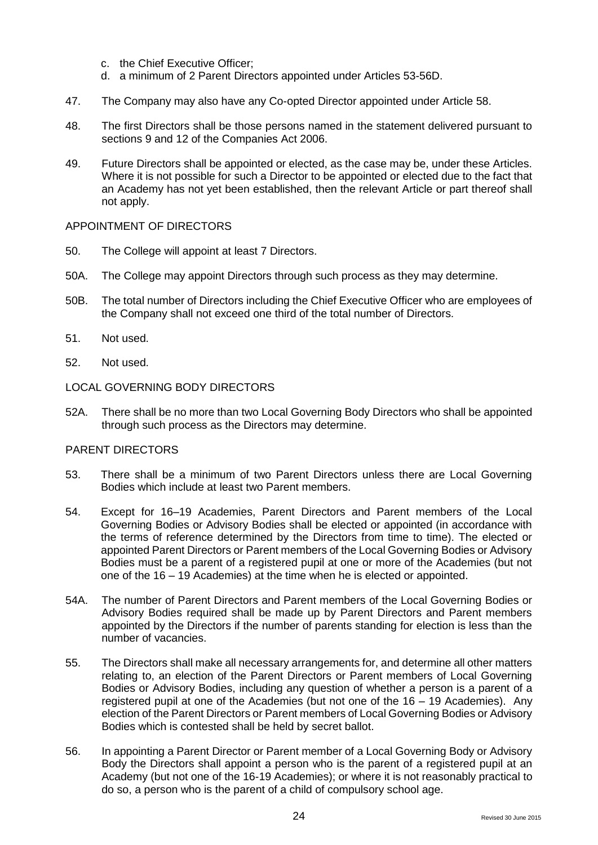- c. the Chief Executive Officer;
- d. a minimum of 2 Parent Directors appointed under Articles 53-56D.
- 47. The Company may also have any Co-opted Director appointed under Article 58.
- 48. The first Directors shall be those persons named in the statement delivered pursuant to sections 9 and 12 of the Companies Act 2006.
- 49. Future Directors shall be appointed or elected, as the case may be, under these Articles. Where it is not possible for such a Director to be appointed or elected due to the fact that an Academy has not yet been established, then the relevant Article or part thereof shall not apply.

#### APPOINTMENT OF DIRECTORS

- 50. The College will appoint at least 7 Directors.
- 50A. The College may appoint Directors through such process as they may determine.
- 50B. The total number of Directors including the Chief Executive Officer who are employees of the Company shall not exceed one third of the total number of Directors.
- 51. Not used.
- 52. Not used.

#### LOCAL GOVERNING BODY DIRECTORS

52A. There shall be no more than two Local Governing Body Directors who shall be appointed through such process as the Directors may determine.

#### PARENT DIRECTORS

- 53. There shall be a minimum of two Parent Directors unless there are Local Governing Bodies which include at least two Parent members.
- 54. Except for 16–19 Academies, Parent Directors and Parent members of the Local Governing Bodies or Advisory Bodies shall be elected or appointed (in accordance with the terms of reference determined by the Directors from time to time). The elected or appointed Parent Directors or Parent members of the Local Governing Bodies or Advisory Bodies must be a parent of a registered pupil at one or more of the Academies (but not one of the 16 – 19 Academies) at the time when he is elected or appointed.
- 54A. The number of Parent Directors and Parent members of the Local Governing Bodies or Advisory Bodies required shall be made up by Parent Directors and Parent members appointed by the Directors if the number of parents standing for election is less than the number of vacancies.
- 55. The Directors shall make all necessary arrangements for, and determine all other matters relating to, an election of the Parent Directors or Parent members of Local Governing Bodies or Advisory Bodies, including any question of whether a person is a parent of a registered pupil at one of the Academies (but not one of the 16 – 19 Academies). Any election of the Parent Directors or Parent members of Local Governing Bodies or Advisory Bodies which is contested shall be held by secret ballot.
- 56. In appointing a Parent Director or Parent member of a Local Governing Body or Advisory Body the Directors shall appoint a person who is the parent of a registered pupil at an Academy (but not one of the 16-19 Academies); or where it is not reasonably practical to do so, a person who is the parent of a child of compulsory school age.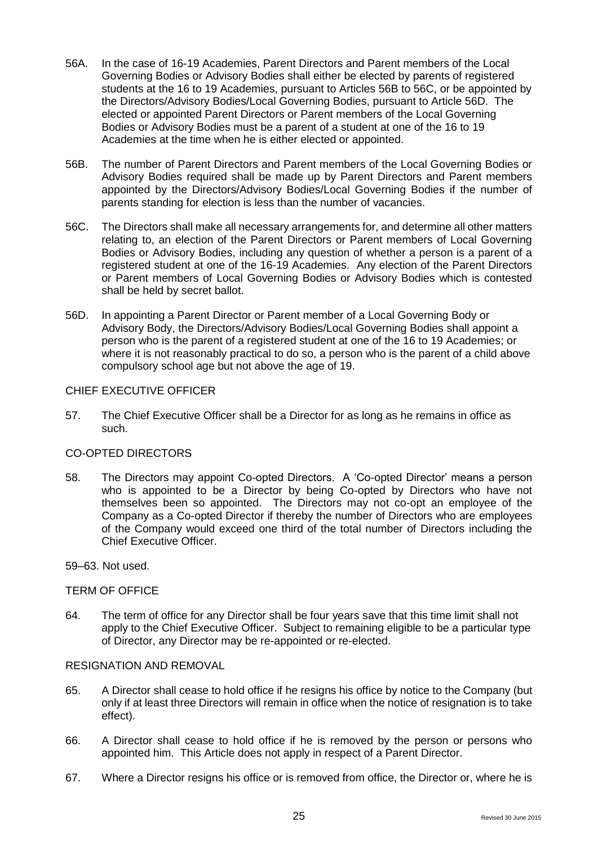- 56A. In the case of 16-19 Academies, Parent Directors and Parent members of the Local Governing Bodies or Advisory Bodies shall either be elected by parents of registered students at the 16 to 19 Academies, pursuant to Articles 56B to 56C, or be appointed by the Directors/Advisory Bodies/Local Governing Bodies, pursuant to Article 56D. The elected or appointed Parent Directors or Parent members of the Local Governing Bodies or Advisory Bodies must be a parent of a student at one of the 16 to 19 Academies at the time when he is either elected or appointed.
- 56B. The number of Parent Directors and Parent members of the Local Governing Bodies or Advisory Bodies required shall be made up by Parent Directors and Parent members appointed by the Directors/Advisory Bodies/Local Governing Bodies if the number of parents standing for election is less than the number of vacancies.
- 56C. The Directors shall make all necessary arrangements for, and determine all other matters relating to, an election of the Parent Directors or Parent members of Local Governing Bodies or Advisory Bodies, including any question of whether a person is a parent of a registered student at one of the 16-19 Academies. Any election of the Parent Directors or Parent members of Local Governing Bodies or Advisory Bodies which is contested shall be held by secret ballot.
- 56D. In appointing a Parent Director or Parent member of a Local Governing Body or Advisory Body, the Directors/Advisory Bodies/Local Governing Bodies shall appoint a person who is the parent of a registered student at one of the 16 to 19 Academies; or where it is not reasonably practical to do so, a person who is the parent of a child above compulsory school age but not above the age of 19.

### CHIEF EXECUTIVE OFFICER

57. The Chief Executive Officer shall be a Director for as long as he remains in office as such.

## CO-OPTED DIRECTORS

58. The Directors may appoint Co-opted Directors. A 'Co-opted Director' means a person who is appointed to be a Director by being Co-opted by Directors who have not themselves been so appointed. The Directors may not co-opt an employee of the Company as a Co-opted Director if thereby the number of Directors who are employees of the Company would exceed one third of the total number of Directors including the Chief Executive Officer.

59–63. Not used.

## TERM OF OFFICE

64. The term of office for any Director shall be four years save that this time limit shall not apply to the Chief Executive Officer. Subject to remaining eligible to be a particular type of Director, any Director may be re-appointed or re-elected.

## RESIGNATION AND REMOVAL

- 65. A Director shall cease to hold office if he resigns his office by notice to the Company (but only if at least three Directors will remain in office when the notice of resignation is to take effect).
- 66. A Director shall cease to hold office if he is removed by the person or persons who appointed him. This Article does not apply in respect of a Parent Director.
- 67. Where a Director resigns his office or is removed from office, the Director or, where he is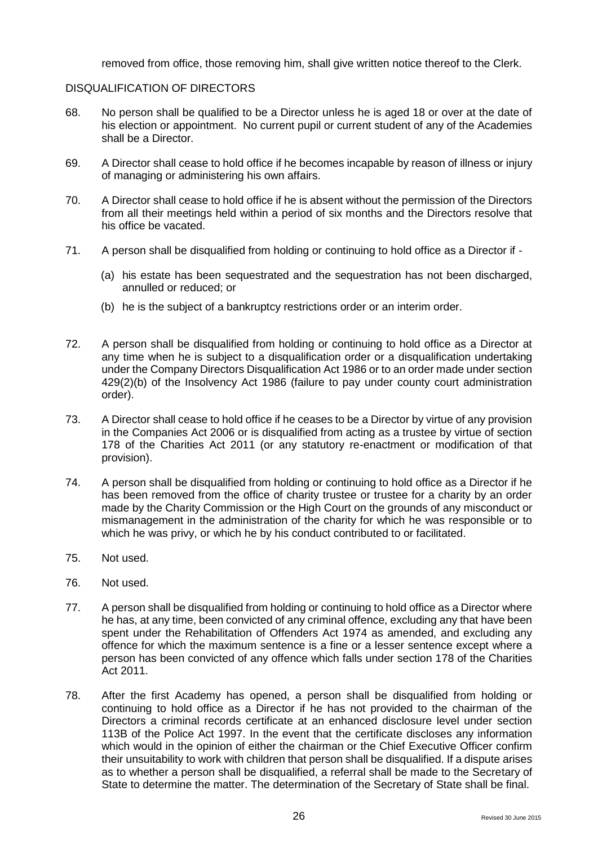removed from office, those removing him, shall give written notice thereof to the Clerk.

#### DISQUALIFICATION OF DIRECTORS

- 68. No person shall be qualified to be a Director unless he is aged 18 or over at the date of his election or appointment. No current pupil or current student of any of the Academies shall be a Director.
- 69. A Director shall cease to hold office if he becomes incapable by reason of illness or injury of managing or administering his own affairs.
- 70. A Director shall cease to hold office if he is absent without the permission of the Directors from all their meetings held within a period of six months and the Directors resolve that his office be vacated.
- 71. A person shall be disqualified from holding or continuing to hold office as a Director if
	- (a) his estate has been sequestrated and the sequestration has not been discharged, annulled or reduced; or
	- (b) he is the subject of a bankruptcy restrictions order or an interim order.
- 72. A person shall be disqualified from holding or continuing to hold office as a Director at any time when he is subject to a disqualification order or a disqualification undertaking under the Company Directors Disqualification Act 1986 or to an order made under section 429(2)(b) of the Insolvency Act 1986 (failure to pay under county court administration order).
- 73. A Director shall cease to hold office if he ceases to be a Director by virtue of any provision in the Companies Act 2006 or is disqualified from acting as a trustee by virtue of section 178 of the Charities Act 2011 (or any statutory re-enactment or modification of that provision).
- 74. A person shall be disqualified from holding or continuing to hold office as a Director if he has been removed from the office of charity trustee or trustee for a charity by an order made by the Charity Commission or the High Court on the grounds of any misconduct or mismanagement in the administration of the charity for which he was responsible or to which he was privy, or which he by his conduct contributed to or facilitated.
- 75. Not used.
- 76. Not used.
- 77. A person shall be disqualified from holding or continuing to hold office as a Director where he has, at any time, been convicted of any criminal offence, excluding any that have been spent under the Rehabilitation of Offenders Act 1974 as amended, and excluding any offence for which the maximum sentence is a fine or a lesser sentence except where a person has been convicted of any offence which falls under section 178 of the Charities Act 2011.
- 78. After the first Academy has opened, a person shall be disqualified from holding or continuing to hold office as a Director if he has not provided to the chairman of the Directors a criminal records certificate at an enhanced disclosure level under section 113B of the Police Act 1997. In the event that the certificate discloses any information which would in the opinion of either the chairman or the Chief Executive Officer confirm their unsuitability to work with children that person shall be disqualified. If a dispute arises as to whether a person shall be disqualified, a referral shall be made to the Secretary of State to determine the matter. The determination of the Secretary of State shall be final.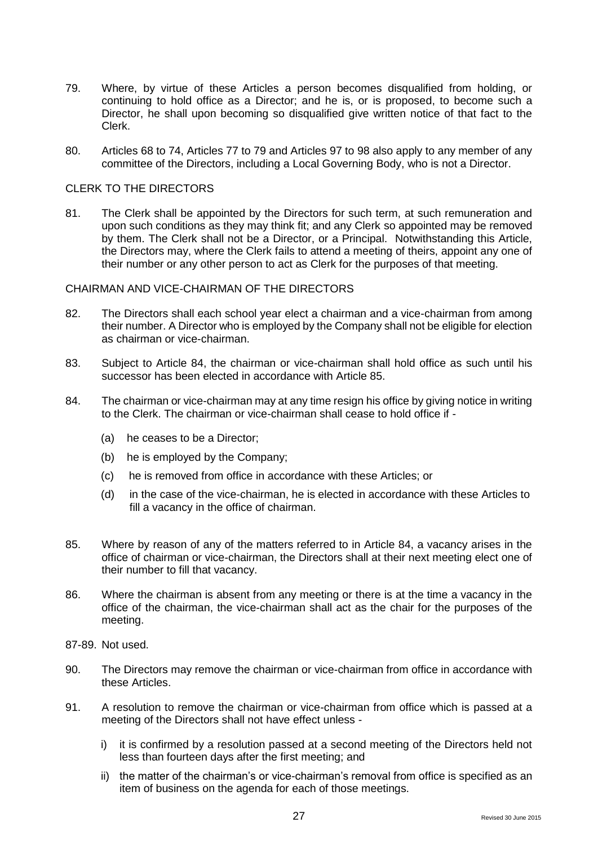- 79. Where, by virtue of these Articles a person becomes disqualified from holding, or continuing to hold office as a Director; and he is, or is proposed, to become such a Director, he shall upon becoming so disqualified give written notice of that fact to the Clerk.
- 80. Articles 68 to 74, Articles 77 to 79 and Articles 97 to 98 also apply to any member of any committee of the Directors, including a Local Governing Body, who is not a Director.

#### CLERK TO THE DIRECTORS

81. The Clerk shall be appointed by the Directors for such term, at such remuneration and upon such conditions as they may think fit; and any Clerk so appointed may be removed by them. The Clerk shall not be a Director, or a Principal. Notwithstanding this Article, the Directors may, where the Clerk fails to attend a meeting of theirs, appoint any one of their number or any other person to act as Clerk for the purposes of that meeting.

## CHAIRMAN AND VICE-CHAIRMAN OF THE DIRECTORS

- 82. The Directors shall each school year elect a chairman and a vice-chairman from among their number. A Director who is employed by the Company shall not be eligible for election as chairman or vice-chairman.
- 83. Subject to Article 84, the chairman or vice-chairman shall hold office as such until his successor has been elected in accordance with Article 85.
- 84. The chairman or vice-chairman may at any time resign his office by giving notice in writing to the Clerk. The chairman or vice-chairman shall cease to hold office if -
	- (a) he ceases to be a Director;
	- (b) he is employed by the Company;
	- (c) he is removed from office in accordance with these Articles; or
	- (d) in the case of the vice-chairman, he is elected in accordance with these Articles to fill a vacancy in the office of chairman.
- 85. Where by reason of any of the matters referred to in Article 84, a vacancy arises in the office of chairman or vice-chairman, the Directors shall at their next meeting elect one of their number to fill that vacancy.
- 86. Where the chairman is absent from any meeting or there is at the time a vacancy in the office of the chairman, the vice-chairman shall act as the chair for the purposes of the meeting.
- 87-89. Not used.
- 90. The Directors may remove the chairman or vice-chairman from office in accordance with these Articles.
- 91. A resolution to remove the chairman or vice-chairman from office which is passed at a meeting of the Directors shall not have effect unless
	- i) it is confirmed by a resolution passed at a second meeting of the Directors held not less than fourteen days after the first meeting; and
	- ii) the matter of the chairman's or vice-chairman's removal from office is specified as an item of business on the agenda for each of those meetings.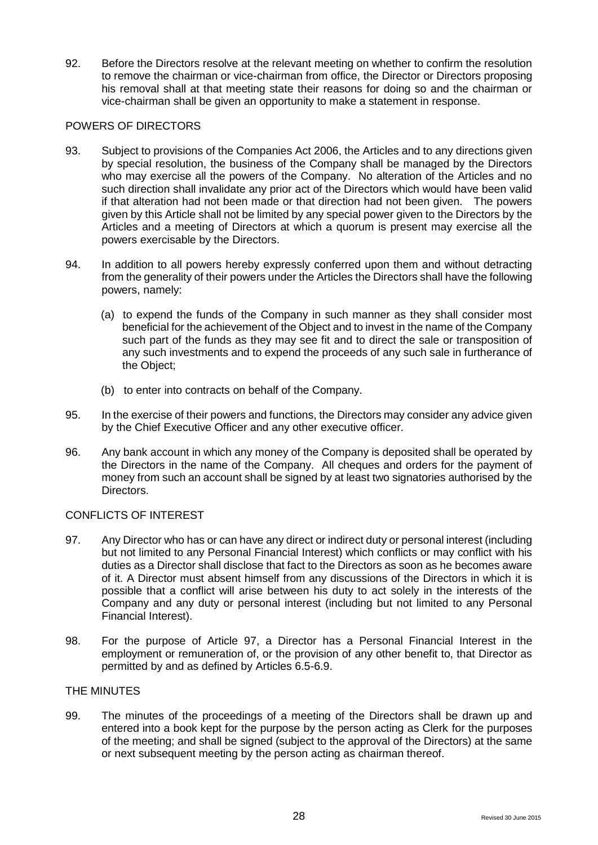92. Before the Directors resolve at the relevant meeting on whether to confirm the resolution to remove the chairman or vice-chairman from office, the Director or Directors proposing his removal shall at that meeting state their reasons for doing so and the chairman or vice-chairman shall be given an opportunity to make a statement in response.

## POWERS OF DIRECTORS

- 93. Subject to provisions of the Companies Act 2006, the Articles and to any directions given by special resolution, the business of the Company shall be managed by the Directors who may exercise all the powers of the Company. No alteration of the Articles and no such direction shall invalidate any prior act of the Directors which would have been valid if that alteration had not been made or that direction had not been given. The powers given by this Article shall not be limited by any special power given to the Directors by the Articles and a meeting of Directors at which a quorum is present may exercise all the powers exercisable by the Directors.
- 94. In addition to all powers hereby expressly conferred upon them and without detracting from the generality of their powers under the Articles the Directors shall have the following powers, namely:
	- (a) to expend the funds of the Company in such manner as they shall consider most beneficial for the achievement of the Object and to invest in the name of the Company such part of the funds as they may see fit and to direct the sale or transposition of any such investments and to expend the proceeds of any such sale in furtherance of the Object;
	- (b) to enter into contracts on behalf of the Company.
- 95. In the exercise of their powers and functions, the Directors may consider any advice given by the Chief Executive Officer and any other executive officer.
- 96. Any bank account in which any money of the Company is deposited shall be operated by the Directors in the name of the Company. All cheques and orders for the payment of money from such an account shall be signed by at least two signatories authorised by the Directors.

## CONFLICTS OF INTEREST

- 97. Any Director who has or can have any direct or indirect duty or personal interest (including but not limited to any Personal Financial Interest) which conflicts or may conflict with his duties as a Director shall disclose that fact to the Directors as soon as he becomes aware of it. A Director must absent himself from any discussions of the Directors in which it is possible that a conflict will arise between his duty to act solely in the interests of the Company and any duty or personal interest (including but not limited to any Personal Financial Interest).
- 98. For the purpose of Article 97, a Director has a Personal Financial Interest in the employment or remuneration of, or the provision of any other benefit to, that Director as permitted by and as defined by Articles 6.5-6.9.

## THE MINUTES

99. The minutes of the proceedings of a meeting of the Directors shall be drawn up and entered into a book kept for the purpose by the person acting as Clerk for the purposes of the meeting; and shall be signed (subject to the approval of the Directors) at the same or next subsequent meeting by the person acting as chairman thereof.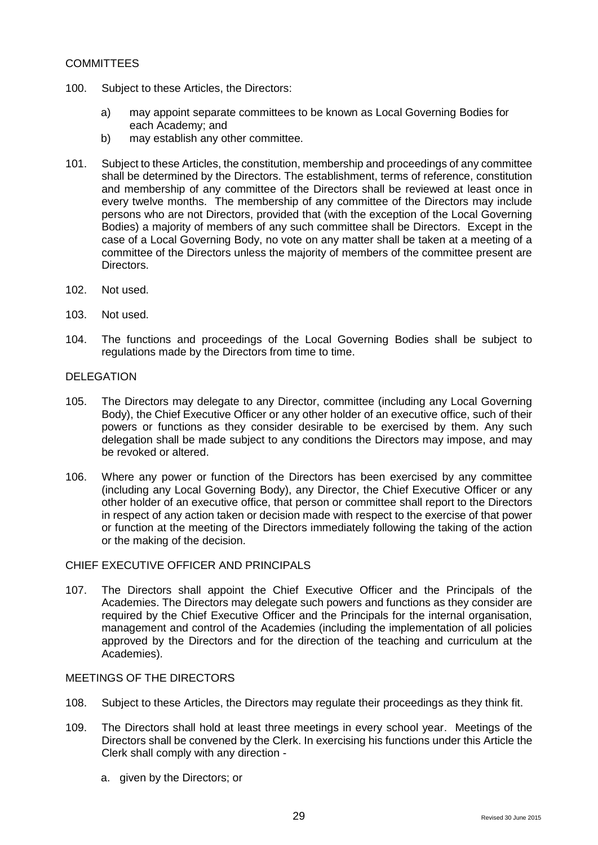## **COMMITTEES**

- 100. Subject to these Articles, the Directors:
	- a) may appoint separate committees to be known as Local Governing Bodies for each Academy; and
	- b) may establish any other committee.
- 101. Subject to these Articles, the constitution, membership and proceedings of any committee shall be determined by the Directors. The establishment, terms of reference, constitution and membership of any committee of the Directors shall be reviewed at least once in every twelve months. The membership of any committee of the Directors may include persons who are not Directors, provided that (with the exception of the Local Governing Bodies) a majority of members of any such committee shall be Directors. Except in the case of a Local Governing Body, no vote on any matter shall be taken at a meeting of a committee of the Directors unless the majority of members of the committee present are Directors.
- 102. Not used.
- 103. Not used.
- 104. The functions and proceedings of the Local Governing Bodies shall be subject to regulations made by the Directors from time to time.

#### DELEGATION

- 105. The Directors may delegate to any Director, committee (including any Local Governing Body), the Chief Executive Officer or any other holder of an executive office, such of their powers or functions as they consider desirable to be exercised by them. Any such delegation shall be made subject to any conditions the Directors may impose, and may be revoked or altered.
- 106. Where any power or function of the Directors has been exercised by any committee (including any Local Governing Body), any Director, the Chief Executive Officer or any other holder of an executive office, that person or committee shall report to the Directors in respect of any action taken or decision made with respect to the exercise of that power or function at the meeting of the Directors immediately following the taking of the action or the making of the decision.

### CHIEF EXECUTIVE OFFICER AND PRINCIPALS

107. The Directors shall appoint the Chief Executive Officer and the Principals of the Academies. The Directors may delegate such powers and functions as they consider are required by the Chief Executive Officer and the Principals for the internal organisation, management and control of the Academies (including the implementation of all policies approved by the Directors and for the direction of the teaching and curriculum at the Academies).

#### MEETINGS OF THE DIRECTORS

- 108. Subject to these Articles, the Directors may regulate their proceedings as they think fit.
- 109. The Directors shall hold at least three meetings in every school year. Meetings of the Directors shall be convened by the Clerk. In exercising his functions under this Article the Clerk shall comply with any direction
	- a. given by the Directors; or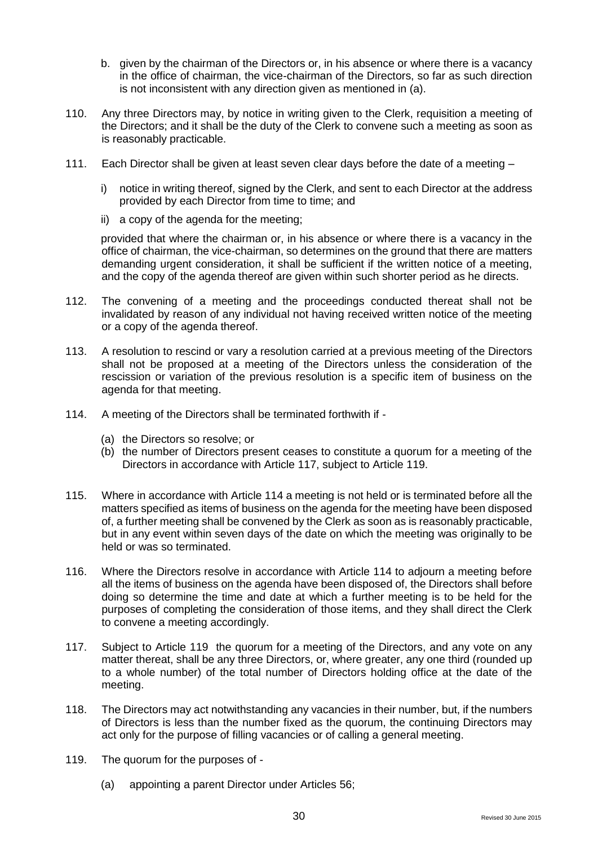- b. given by the chairman of the Directors or, in his absence or where there is a vacancy in the office of chairman, the vice-chairman of the Directors, so far as such direction is not inconsistent with any direction given as mentioned in (a).
- 110. Any three Directors may, by notice in writing given to the Clerk, requisition a meeting of the Directors; and it shall be the duty of the Clerk to convene such a meeting as soon as is reasonably practicable.
- 111. Each Director shall be given at least seven clear days before the date of a meeting
	- i) notice in writing thereof, signed by the Clerk, and sent to each Director at the address provided by each Director from time to time; and
	- ii) a copy of the agenda for the meeting;

provided that where the chairman or, in his absence or where there is a vacancy in the office of chairman, the vice-chairman, so determines on the ground that there are matters demanding urgent consideration, it shall be sufficient if the written notice of a meeting, and the copy of the agenda thereof are given within such shorter period as he directs.

- 112. The convening of a meeting and the proceedings conducted thereat shall not be invalidated by reason of any individual not having received written notice of the meeting or a copy of the agenda thereof.
- 113. A resolution to rescind or vary a resolution carried at a previous meeting of the Directors shall not be proposed at a meeting of the Directors unless the consideration of the rescission or variation of the previous resolution is a specific item of business on the agenda for that meeting.
- 114. A meeting of the Directors shall be terminated forthwith if
	- (a) the Directors so resolve; or
	- (b) the number of Directors present ceases to constitute a quorum for a meeting of the Directors in accordance with Article 117, subject to Article 119.
- 115. Where in accordance with Article 114 a meeting is not held or is terminated before all the matters specified as items of business on the agenda for the meeting have been disposed of, a further meeting shall be convened by the Clerk as soon as is reasonably practicable, but in any event within seven days of the date on which the meeting was originally to be held or was so terminated.
- 116. Where the Directors resolve in accordance with Article 114 to adjourn a meeting before all the items of business on the agenda have been disposed of, the Directors shall before doing so determine the time and date at which a further meeting is to be held for the purposes of completing the consideration of those items, and they shall direct the Clerk to convene a meeting accordingly.
- 117. Subject to Article 119 the quorum for a meeting of the Directors, and any vote on any matter thereat, shall be any three Directors, or, where greater, any one third (rounded up to a whole number) of the total number of Directors holding office at the date of the meeting.
- 118. The Directors may act notwithstanding any vacancies in their number, but, if the numbers of Directors is less than the number fixed as the quorum, the continuing Directors may act only for the purpose of filling vacancies or of calling a general meeting.
- 119. The quorum for the purposes of
	- (a) appointing a parent Director under Articles 56;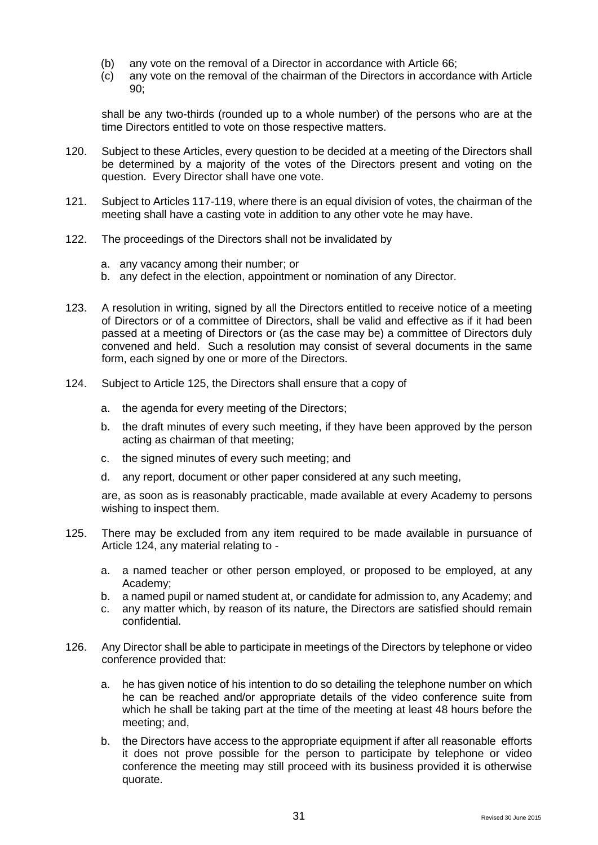- (b) any vote on the removal of a Director in accordance with Article 66;
- (c) any vote on the removal of the chairman of the Directors in accordance with Article 90;

shall be any two-thirds (rounded up to a whole number) of the persons who are at the time Directors entitled to vote on those respective matters.

- 120. Subject to these Articles, every question to be decided at a meeting of the Directors shall be determined by a majority of the votes of the Directors present and voting on the question. Every Director shall have one vote.
- 121. Subject to Articles 117-119, where there is an equal division of votes, the chairman of the meeting shall have a casting vote in addition to any other vote he may have.
- 122. The proceedings of the Directors shall not be invalidated by
	- a. any vacancy among their number; or
	- b. any defect in the election, appointment or nomination of any Director.
- 123. A resolution in writing, signed by all the Directors entitled to receive notice of a meeting of Directors or of a committee of Directors, shall be valid and effective as if it had been passed at a meeting of Directors or (as the case may be) a committee of Directors duly convened and held. Such a resolution may consist of several documents in the same form, each signed by one or more of the Directors.
- 124. Subject to Article 125, the Directors shall ensure that a copy of
	- a. the agenda for every meeting of the Directors;
	- b. the draft minutes of every such meeting, if they have been approved by the person acting as chairman of that meeting;
	- c. the signed minutes of every such meeting; and
	- d. any report, document or other paper considered at any such meeting,

are, as soon as is reasonably practicable, made available at every Academy to persons wishing to inspect them.

- 125. There may be excluded from any item required to be made available in pursuance of Article 124, any material relating to
	- a. a named teacher or other person employed, or proposed to be employed, at any Academy;
	- b. a named pupil or named student at, or candidate for admission to, any Academy; and
	- c. any matter which, by reason of its nature, the Directors are satisfied should remain confidential.
- 126. Any Director shall be able to participate in meetings of the Directors by telephone or video conference provided that:
	- a. he has given notice of his intention to do so detailing the telephone number on which he can be reached and/or appropriate details of the video conference suite from which he shall be taking part at the time of the meeting at least 48 hours before the meeting; and,
	- b. the Directors have access to the appropriate equipment if after all reasonable efforts it does not prove possible for the person to participate by telephone or video conference the meeting may still proceed with its business provided it is otherwise quorate.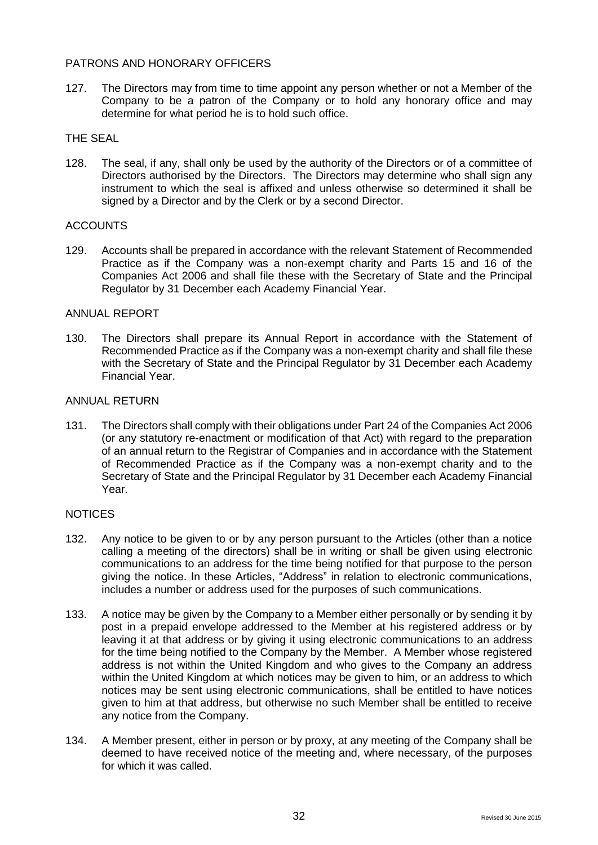## PATRONS AND HONORARY OFFICERS

127. The Directors may from time to time appoint any person whether or not a Member of the Company to be a patron of the Company or to hold any honorary office and may determine for what period he is to hold such office.

## THE SEAL

128. The seal, if any, shall only be used by the authority of the Directors or of a committee of Directors authorised by the Directors. The Directors may determine who shall sign any instrument to which the seal is affixed and unless otherwise so determined it shall be signed by a Director and by the Clerk or by a second Director.

## ACCOUNTS

129. Accounts shall be prepared in accordance with the relevant Statement of Recommended Practice as if the Company was a non-exempt charity and Parts 15 and 16 of the Companies Act 2006 and shall file these with the Secretary of State and the Principal Regulator by 31 December each Academy Financial Year.

#### ANNUAL REPORT

130. The Directors shall prepare its Annual Report in accordance with the Statement of Recommended Practice as if the Company was a non-exempt charity and shall file these with the Secretary of State and the Principal Regulator by 31 December each Academy Financial Year.

#### ANNUAL RETURN

131. The Directors shall comply with their obligations under Part 24 of the Companies Act 2006 (or any statutory re-enactment or modification of that Act) with regard to the preparation of an annual return to the Registrar of Companies and in accordance with the Statement of Recommended Practice as if the Company was a non-exempt charity and to the Secretary of State and the Principal Regulator by 31 December each Academy Financial Year.

#### **NOTICES**

- 132. Any notice to be given to or by any person pursuant to the Articles (other than a notice calling a meeting of the directors) shall be in writing or shall be given using electronic communications to an address for the time being notified for that purpose to the person giving the notice. In these Articles, "Address" in relation to electronic communications, includes a number or address used for the purposes of such communications.
- 133. A notice may be given by the Company to a Member either personally or by sending it by post in a prepaid envelope addressed to the Member at his registered address or by leaving it at that address or by giving it using electronic communications to an address for the time being notified to the Company by the Member. A Member whose registered address is not within the United Kingdom and who gives to the Company an address within the United Kingdom at which notices may be given to him, or an address to which notices may be sent using electronic communications, shall be entitled to have notices given to him at that address, but otherwise no such Member shall be entitled to receive any notice from the Company.
- 134. A Member present, either in person or by proxy, at any meeting of the Company shall be deemed to have received notice of the meeting and, where necessary, of the purposes for which it was called.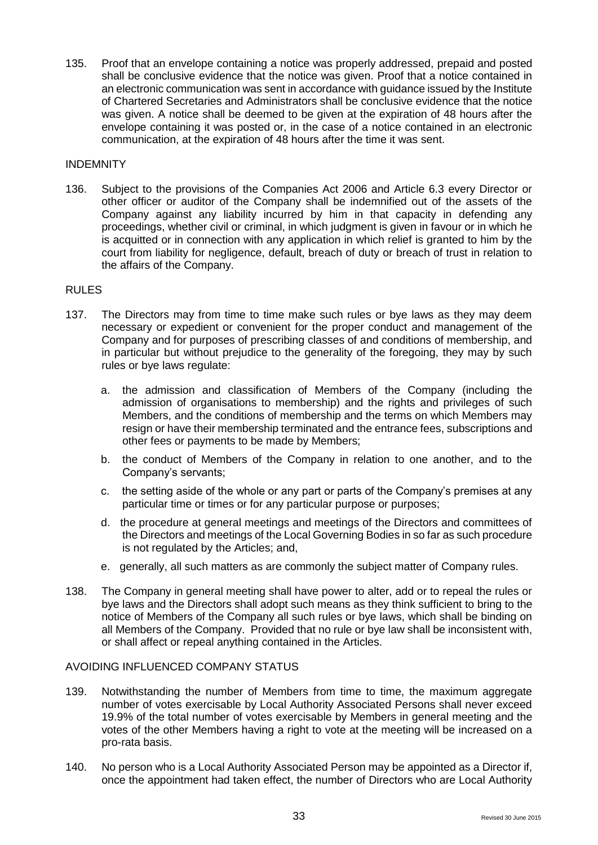135. Proof that an envelope containing a notice was properly addressed, prepaid and posted shall be conclusive evidence that the notice was given. Proof that a notice contained in an electronic communication was sent in accordance with guidance issued by the Institute of Chartered Secretaries and Administrators shall be conclusive evidence that the notice was given. A notice shall be deemed to be given at the expiration of 48 hours after the envelope containing it was posted or, in the case of a notice contained in an electronic communication, at the expiration of 48 hours after the time it was sent.

#### INDEMNITY

136. Subject to the provisions of the Companies Act 2006 and Article 6.3 every Director or other officer or auditor of the Company shall be indemnified out of the assets of the Company against any liability incurred by him in that capacity in defending any proceedings, whether civil or criminal, in which judgment is given in favour or in which he is acquitted or in connection with any application in which relief is granted to him by the court from liability for negligence, default, breach of duty or breach of trust in relation to the affairs of the Company.

## RULES

- 137. The Directors may from time to time make such rules or bye laws as they may deem necessary or expedient or convenient for the proper conduct and management of the Company and for purposes of prescribing classes of and conditions of membership, and in particular but without prejudice to the generality of the foregoing, they may by such rules or bye laws regulate:
	- a. the admission and classification of Members of the Company (including the admission of organisations to membership) and the rights and privileges of such Members, and the conditions of membership and the terms on which Members may resign or have their membership terminated and the entrance fees, subscriptions and other fees or payments to be made by Members;
	- b. the conduct of Members of the Company in relation to one another, and to the Company's servants;
	- c. the setting aside of the whole or any part or parts of the Company's premises at any particular time or times or for any particular purpose or purposes;
	- d. the procedure at general meetings and meetings of the Directors and committees of the Directors and meetings of the Local Governing Bodies in so far as such procedure is not regulated by the Articles; and,
	- e. generally, all such matters as are commonly the subject matter of Company rules.
- 138. The Company in general meeting shall have power to alter, add or to repeal the rules or bye laws and the Directors shall adopt such means as they think sufficient to bring to the notice of Members of the Company all such rules or bye laws, which shall be binding on all Members of the Company. Provided that no rule or bye law shall be inconsistent with, or shall affect or repeal anything contained in the Articles.

#### AVOIDING INFLUENCED COMPANY STATUS

- 139. Notwithstanding the number of Members from time to time, the maximum aggregate number of votes exercisable by Local Authority Associated Persons shall never exceed 19.9% of the total number of votes exercisable by Members in general meeting and the votes of the other Members having a right to vote at the meeting will be increased on a pro-rata basis.
- 140. No person who is a Local Authority Associated Person may be appointed as a Director if, once the appointment had taken effect, the number of Directors who are Local Authority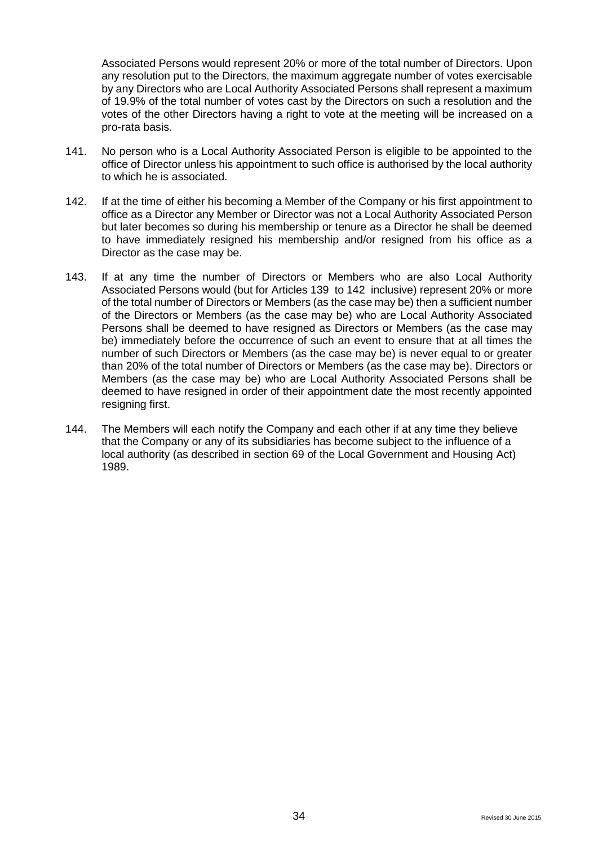Associated Persons would represent 20% or more of the total number of Directors. Upon any resolution put to the Directors, the maximum aggregate number of votes exercisable by any Directors who are Local Authority Associated Persons shall represent a maximum of 19.9% of the total number of votes cast by the Directors on such a resolution and the votes of the other Directors having a right to vote at the meeting will be increased on a pro-rata basis.

- 141. No person who is a Local Authority Associated Person is eligible to be appointed to the office of Director unless his appointment to such office is authorised by the local authority to which he is associated.
- 142. If at the time of either his becoming a Member of the Company or his first appointment to office as a Director any Member or Director was not a Local Authority Associated Person but later becomes so during his membership or tenure as a Director he shall be deemed to have immediately resigned his membership and/or resigned from his office as a Director as the case may be.
- 143. If at any time the number of Directors or Members who are also Local Authority Associated Persons would (but for Articles 139 to 142 inclusive) represent 20% or more of the total number of Directors or Members (as the case may be) then a sufficient number of the Directors or Members (as the case may be) who are Local Authority Associated Persons shall be deemed to have resigned as Directors or Members (as the case may be) immediately before the occurrence of such an event to ensure that at all times the number of such Directors or Members (as the case may be) is never equal to or greater than 20% of the total number of Directors or Members (as the case may be). Directors or Members (as the case may be) who are Local Authority Associated Persons shall be deemed to have resigned in order of their appointment date the most recently appointed resigning first.
- 144. The Members will each notify the Company and each other if at any time they believe that the Company or any of its subsidiaries has become subject to the influence of a local authority (as described in section 69 of the Local Government and Housing Act) 1989.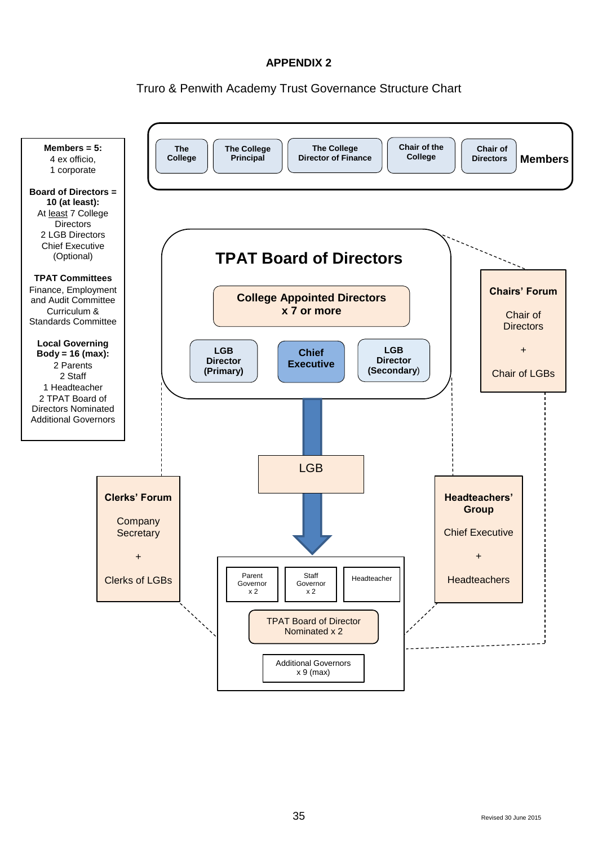## Truro & Penwith Academy Trust Governance Structure Chart

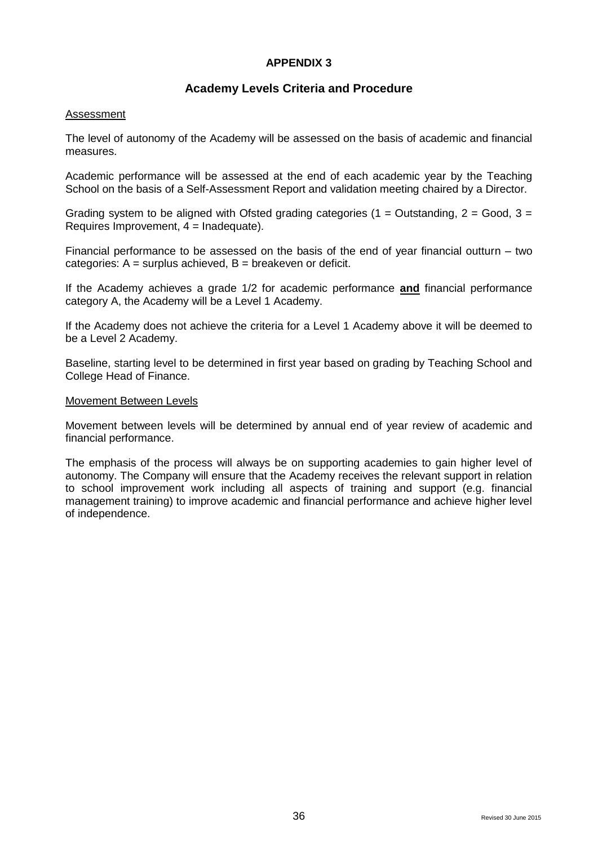## **Academy Levels Criteria and Procedure**

#### **Assessment**

The level of autonomy of the Academy will be assessed on the basis of academic and financial measures.

Academic performance will be assessed at the end of each academic year by the Teaching School on the basis of a Self-Assessment Report and validation meeting chaired by a Director.

Grading system to be aligned with Ofsted grading categories (1 = Outstanding,  $2 = Good$ ,  $3 =$ Requires Improvement,  $4 =$  Inadequate).

Financial performance to be assessed on the basis of the end of year financial outturn – two categories:  $A =$  surplus achieved,  $B =$  breakeven or deficit.

If the Academy achieves a grade 1/2 for academic performance **and** financial performance category A, the Academy will be a Level 1 Academy.

If the Academy does not achieve the criteria for a Level 1 Academy above it will be deemed to be a Level 2 Academy.

Baseline, starting level to be determined in first year based on grading by Teaching School and College Head of Finance.

#### Movement Between Levels

Movement between levels will be determined by annual end of year review of academic and financial performance.

The emphasis of the process will always be on supporting academies to gain higher level of autonomy. The Company will ensure that the Academy receives the relevant support in relation to school improvement work including all aspects of training and support (e.g. financial management training) to improve academic and financial performance and achieve higher level of independence.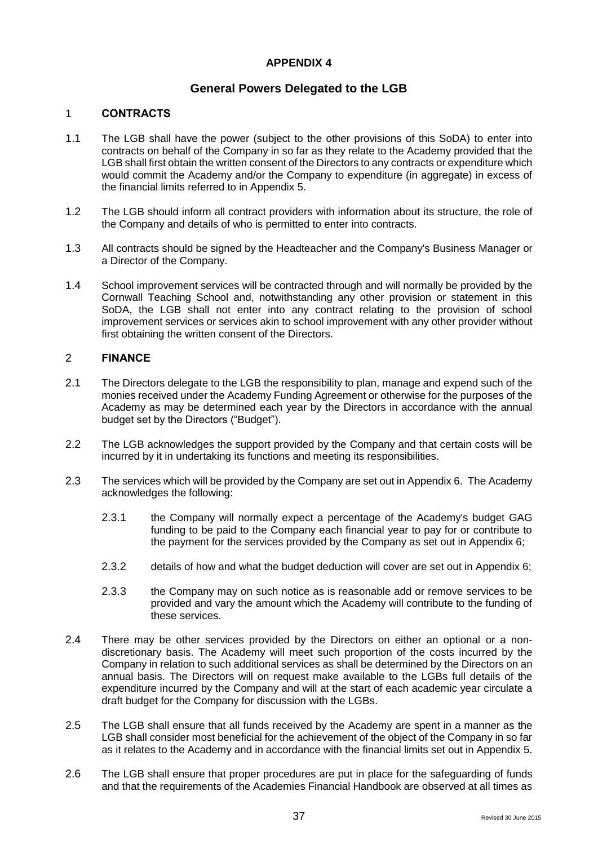## **General Powers Delegated to the LGB**

## 1 **CONTRACTS**

- 1.1 The LGB shall have the power (subject to the other provisions of this SoDA) to enter into contracts on behalf of the Company in so far as they relate to the Academy provided that the LGB shall first obtain the written consent of the Directors to any contracts or expenditure which would commit the Academy and/or the Company to expenditure (in aggregate) in excess of the financial limits referred to in Appendix 5.
- 1.2 The LGB should inform all contract providers with information about its structure, the role of the Company and details of who is permitted to enter into contracts.
- 1.3 All contracts should be signed by the Headteacher and the Company's Business Manager or a Director of the Company.
- 1.4 School improvement services will be contracted through and will normally be provided by the Cornwall Teaching School and, notwithstanding any other provision or statement in this SoDA, the LGB shall not enter into any contract relating to the provision of school improvement services or services akin to school improvement with any other provider without first obtaining the written consent of the Directors.

#### 2 **FINANCE**

- 2.1 The Directors delegate to the LGB the responsibility to plan, manage and expend such of the monies received under the Academy Funding Agreement or otherwise for the purposes of the Academy as may be determined each year by the Directors in accordance with the annual budget set by the Directors ("Budget").
- 2.2 The LGB acknowledges the support provided by the Company and that certain costs will be incurred by it in undertaking its functions and meeting its responsibilities.
- 2.3 The services which will be provided by the Company are set out in Appendix 6. The Academy acknowledges the following:
	- 2.3.1 the Company will normally expect a percentage of the Academy's budget GAG funding to be paid to the Company each financial year to pay for or contribute to the payment for the services provided by the Company as set out in Appendix 6;
	- 2.3.2 details of how and what the budget deduction will cover are set out in Appendix 6;
	- 2.3.3 the Company may on such notice as is reasonable add or remove services to be provided and vary the amount which the Academy will contribute to the funding of these services.
- 2.4 There may be other services provided by the Directors on either an optional or a nondiscretionary basis. The Academy will meet such proportion of the costs incurred by the Company in relation to such additional services as shall be determined by the Directors on an annual basis. The Directors will on request make available to the LGBs full details of the expenditure incurred by the Company and will at the start of each academic year circulate a draft budget for the Company for discussion with the LGBs.
- 2.5 The LGB shall ensure that all funds received by the Academy are spent in a manner as the LGB shall consider most beneficial for the achievement of the object of the Company in so far as it relates to the Academy and in accordance with the financial limits set out in Appendix 5.
- 2.6 The LGB shall ensure that proper procedures are put in place for the safeguarding of funds and that the requirements of the Academies Financial Handbook are observed at all times as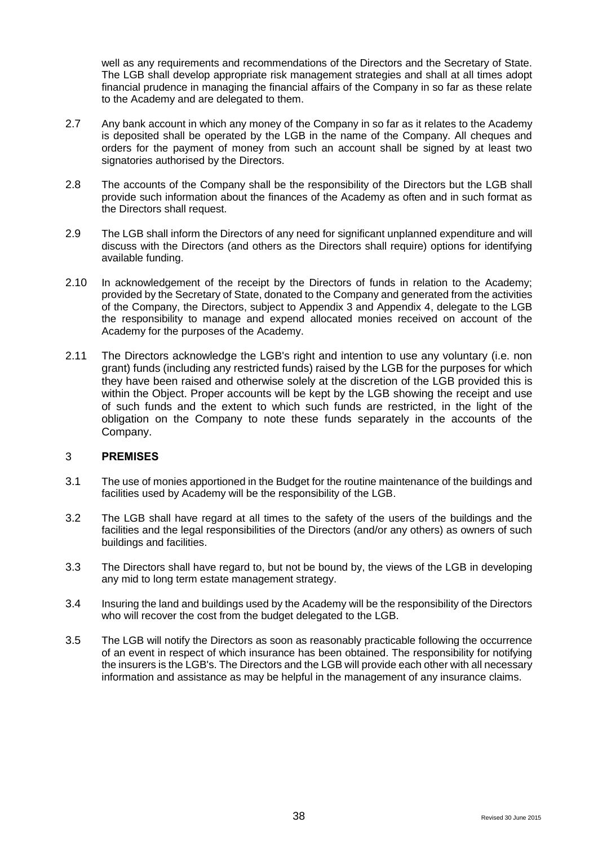well as any requirements and recommendations of the Directors and the Secretary of State. The LGB shall develop appropriate risk management strategies and shall at all times adopt financial prudence in managing the financial affairs of the Company in so far as these relate to the Academy and are delegated to them.

- 2.7 Any bank account in which any money of the Company in so far as it relates to the Academy is deposited shall be operated by the LGB in the name of the Company. All cheques and orders for the payment of money from such an account shall be signed by at least two signatories authorised by the Directors.
- 2.8 The accounts of the Company shall be the responsibility of the Directors but the LGB shall provide such information about the finances of the Academy as often and in such format as the Directors shall request.
- 2.9 The LGB shall inform the Directors of any need for significant unplanned expenditure and will discuss with the Directors (and others as the Directors shall require) options for identifying available funding.
- 2.10 In acknowledgement of the receipt by the Directors of funds in relation to the Academy; provided by the Secretary of State, donated to the Company and generated from the activities of the Company, the Directors, subject to Appendix 3 and Appendix 4, delegate to the LGB the responsibility to manage and expend allocated monies received on account of the Academy for the purposes of the Academy.
- 2.11 The Directors acknowledge the LGB's right and intention to use any voluntary (i.e. non grant) funds (including any restricted funds) raised by the LGB for the purposes for which they have been raised and otherwise solely at the discretion of the LGB provided this is within the Object. Proper accounts will be kept by the LGB showing the receipt and use of such funds and the extent to which such funds are restricted, in the light of the obligation on the Company to note these funds separately in the accounts of the Company.

#### 3 **PREMISES**

- 3.1 The use of monies apportioned in the Budget for the routine maintenance of the buildings and facilities used by Academy will be the responsibility of the LGB.
- 3.2 The LGB shall have regard at all times to the safety of the users of the buildings and the facilities and the legal responsibilities of the Directors (and/or any others) as owners of such buildings and facilities.
- 3.3 The Directors shall have regard to, but not be bound by, the views of the LGB in developing any mid to long term estate management strategy.
- 3.4 Insuring the land and buildings used by the Academy will be the responsibility of the Directors who will recover the cost from the budget delegated to the LGB.
- 3.5 The LGB will notify the Directors as soon as reasonably practicable following the occurrence of an event in respect of which insurance has been obtained. The responsibility for notifying the insurers is the LGB's. The Directors and the LGB will provide each other with all necessary information and assistance as may be helpful in the management of any insurance claims.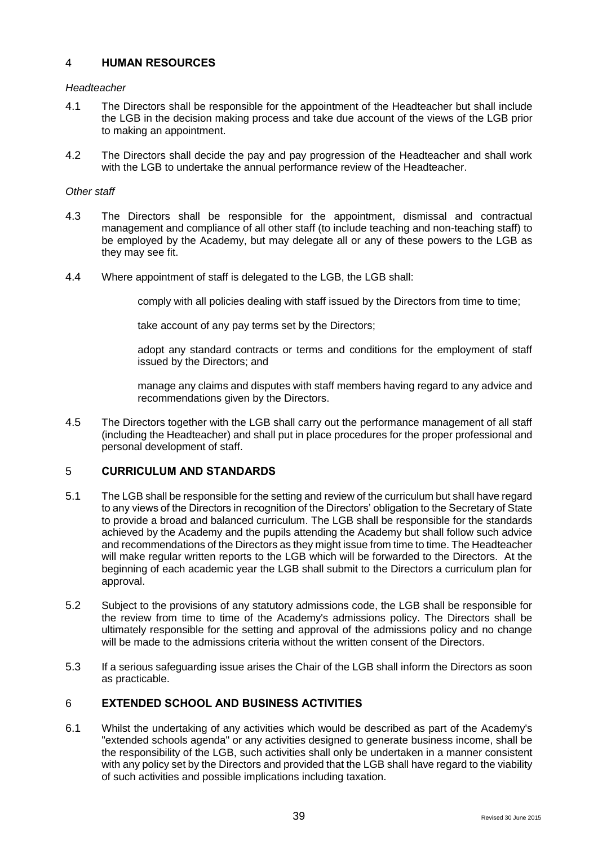### 4 **HUMAN RESOURCES**

#### *Headteacher*

- 4.1 The Directors shall be responsible for the appointment of the Headteacher but shall include the LGB in the decision making process and take due account of the views of the LGB prior to making an appointment.
- 4.2 The Directors shall decide the pay and pay progression of the Headteacher and shall work with the LGB to undertake the annual performance review of the Headteacher.

#### *Other staff*

- 4.3 The Directors shall be responsible for the appointment, dismissal and contractual management and compliance of all other staff (to include teaching and non-teaching staff) to be employed by the Academy, but may delegate all or any of these powers to the LGB as they may see fit.
- 4.4 Where appointment of staff is delegated to the LGB, the LGB shall:

comply with all policies dealing with staff issued by the Directors from time to time;

take account of any pay terms set by the Directors;

adopt any standard contracts or terms and conditions for the employment of staff issued by the Directors; and

manage any claims and disputes with staff members having regard to any advice and recommendations given by the Directors.

4.5 The Directors together with the LGB shall carry out the performance management of all staff (including the Headteacher) and shall put in place procedures for the proper professional and personal development of staff.

#### 5 **CURRICULUM AND STANDARDS**

- 5.1 The LGB shall be responsible for the setting and review of the curriculum but shall have regard to any views of the Directors in recognition of the Directors' obligation to the Secretary of State to provide a broad and balanced curriculum. The LGB shall be responsible for the standards achieved by the Academy and the pupils attending the Academy but shall follow such advice and recommendations of the Directors as they might issue from time to time. The Headteacher will make regular written reports to the LGB which will be forwarded to the Directors. At the beginning of each academic year the LGB shall submit to the Directors a curriculum plan for approval.
- 5.2 Subject to the provisions of any statutory admissions code, the LGB shall be responsible for the review from time to time of the Academy's admissions policy. The Directors shall be ultimately responsible for the setting and approval of the admissions policy and no change will be made to the admissions criteria without the written consent of the Directors.
- 5.3 If a serious safeguarding issue arises the Chair of the LGB shall inform the Directors as soon as practicable.

## 6 **EXTENDED SCHOOL AND BUSINESS ACTIVITIES**

6.1 Whilst the undertaking of any activities which would be described as part of the Academy's "extended schools agenda" or any activities designed to generate business income, shall be the responsibility of the LGB, such activities shall only be undertaken in a manner consistent with any policy set by the Directors and provided that the LGB shall have regard to the viability of such activities and possible implications including taxation.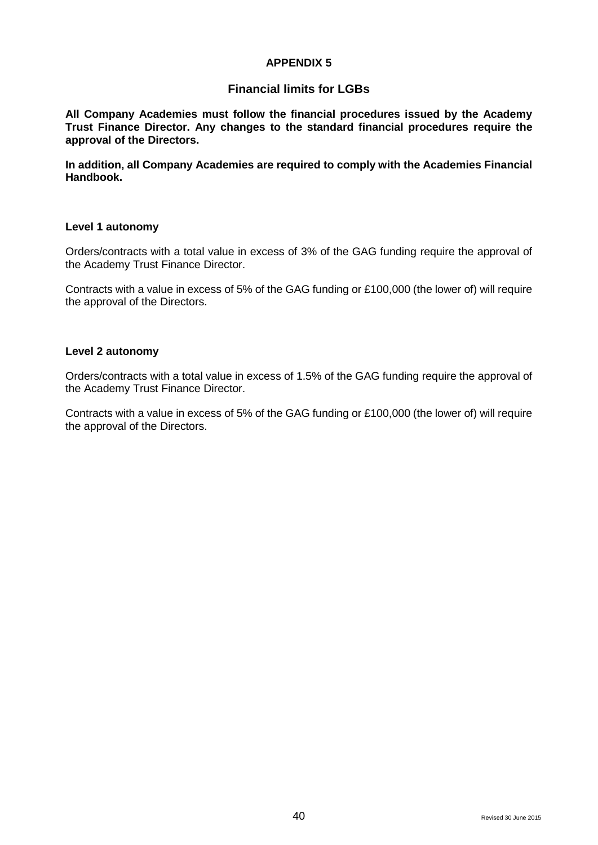## **Financial limits for LGBs**

**All Company Academies must follow the financial procedures issued by the Academy Trust Finance Director. Any changes to the standard financial procedures require the approval of the Directors.**

**In addition, all Company Academies are required to comply with the Academies Financial Handbook.**

#### **Level 1 autonomy**

Orders/contracts with a total value in excess of 3% of the GAG funding require the approval of the Academy Trust Finance Director.

Contracts with a value in excess of 5% of the GAG funding or £100,000 (the lower of) will require the approval of the Directors.

#### **Level 2 autonomy**

Orders/contracts with a total value in excess of 1.5% of the GAG funding require the approval of the Academy Trust Finance Director.

Contracts with a value in excess of 5% of the GAG funding or £100,000 (the lower of) will require the approval of the Directors.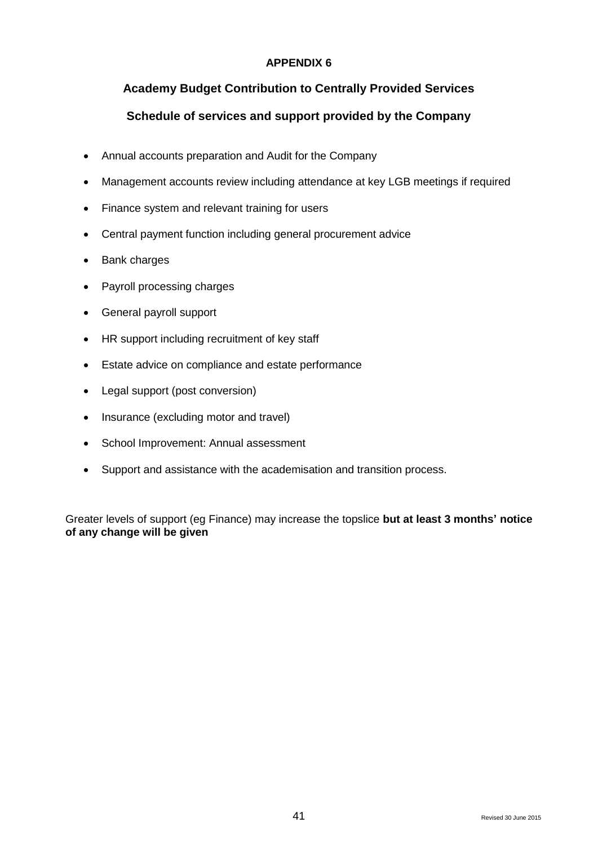## **Academy Budget Contribution to Centrally Provided Services**

## **Schedule of services and support provided by the Company**

- Annual accounts preparation and Audit for the Company
- Management accounts review including attendance at key LGB meetings if required
- Finance system and relevant training for users
- Central payment function including general procurement advice
- Bank charges
- Payroll processing charges
- General payroll support
- HR support including recruitment of key staff
- Estate advice on compliance and estate performance
- Legal support (post conversion)
- Insurance (excluding motor and travel)
- School Improvement: Annual assessment
- Support and assistance with the academisation and transition process.

Greater levels of support (eg Finance) may increase the topslice **but at least 3 months' notice of any change will be given**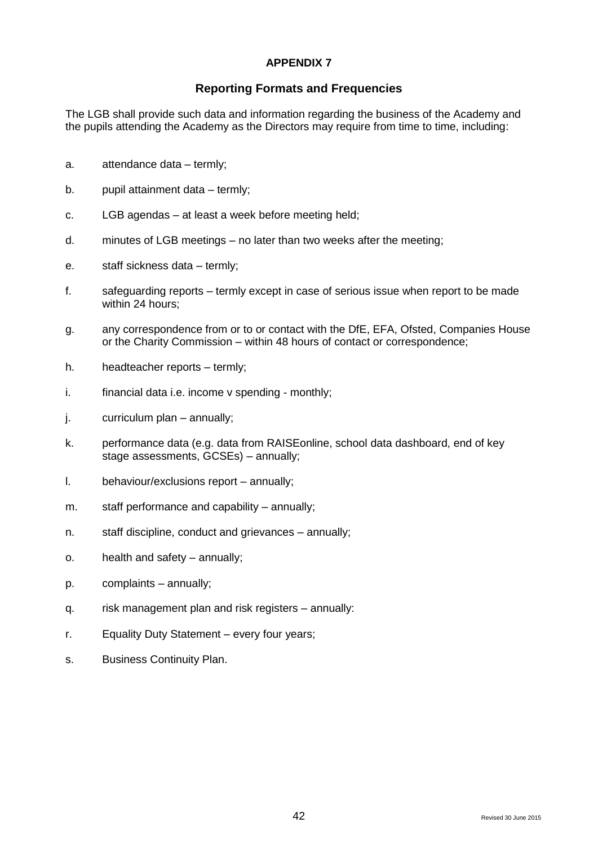## **Reporting Formats and Frequencies**

The LGB shall provide such data and information regarding the business of the Academy and the pupils attending the Academy as the Directors may require from time to time, including:

- a. attendance data termly;
- b. pupil attainment data termly;
- c. LGB agendas at least a week before meeting held;
- d. minutes of LGB meetings no later than two weeks after the meeting;
- e. staff sickness data termly;
- f. safeguarding reports termly except in case of serious issue when report to be made within 24 hours:
- g. any correspondence from or to or contact with the DfE, EFA, Ofsted, Companies House or the Charity Commission – within 48 hours of contact or correspondence;
- h. headteacher reports termly;
- i. financial data i.e. income v spending monthly;
- j. curriculum plan annually;
- k. performance data (e.g. data from RAISEonline, school data dashboard, end of key stage assessments, GCSEs) – annually;
- l. behaviour/exclusions report annually;
- m. staff performance and capability annually;
- n. staff discipline, conduct and grievances annually;
- o. health and safety annually;
- p. complaints annually;
- q. risk management plan and risk registers annually:
- r. Equality Duty Statement every four years;
- s. Business Continuity Plan.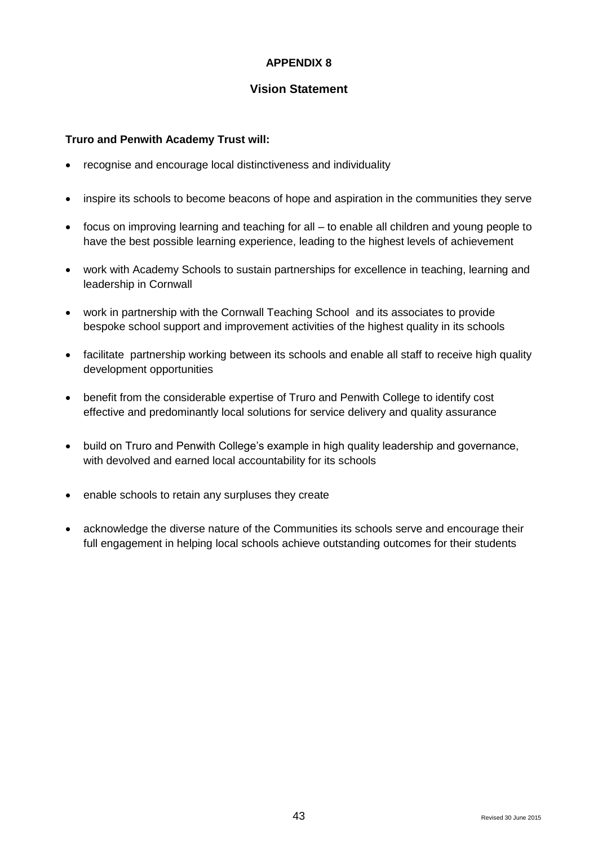## **Vision Statement**

## **Truro and Penwith Academy Trust will:**

- recognise and encourage local distinctiveness and individuality
- inspire its schools to become beacons of hope and aspiration in the communities they serve
- focus on improving learning and teaching for all to enable all children and young people to have the best possible learning experience, leading to the highest levels of achievement
- work with Academy Schools to sustain partnerships for excellence in teaching, learning and leadership in Cornwall
- work in partnership with the Cornwall Teaching School and its associates to provide bespoke school support and improvement activities of the highest quality in its schools
- facilitate partnership working between its schools and enable all staff to receive high quality development opportunities
- benefit from the considerable expertise of Truro and Penwith College to identify cost effective and predominantly local solutions for service delivery and quality assurance
- build on Truro and Penwith College's example in high quality leadership and governance, with devolved and earned local accountability for its schools
- enable schools to retain any surpluses they create
- acknowledge the diverse nature of the Communities its schools serve and encourage their full engagement in helping local schools achieve outstanding outcomes for their students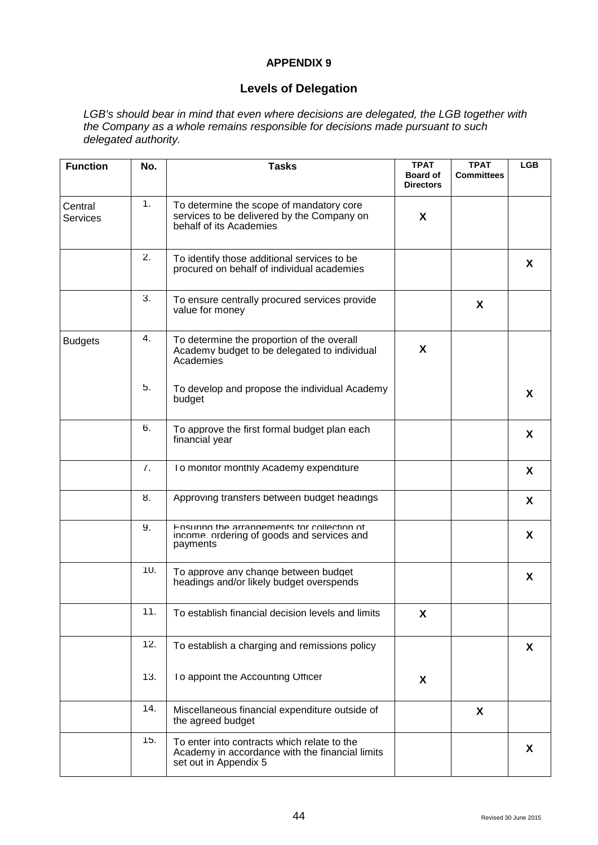## **Levels of Delegation**

*LGB's should bear in mind that even where decisions are delegated, the LGB together with the Company as a whole remains responsible for decisions made pursuant to such delegated authority.*

| <b>Function</b>            | No. | <b>Tasks</b>                                                                                                            | <b>TPAT</b><br><b>Board of</b><br><b>Directors</b> | <b>TPAT</b><br><b>Committees</b> | <b>LGB</b> |
|----------------------------|-----|-------------------------------------------------------------------------------------------------------------------------|----------------------------------------------------|----------------------------------|------------|
| Central<br><b>Services</b> | 1.  | To determine the scope of mandatory core<br>services to be delivered by the Company on<br>behalf of its Academies       | X.                                                 |                                  |            |
|                            | 2.  | To identify those additional services to be<br>procured on behalf of individual academies                               |                                                    |                                  | X          |
|                            | 3.  | To ensure centrally procured services provide<br>value for money                                                        |                                                    | X                                |            |
| <b>Budgets</b>             | 4.  | To determine the proportion of the overall<br>Academy budget to be delegated to individual<br>Academies                 | X                                                  |                                  |            |
|                            | 5.  | To develop and propose the individual Academy<br>budget                                                                 |                                                    |                                  | X          |
|                            | 6.  | To approve the first formal budget plan each<br>financial year                                                          |                                                    |                                  | X          |
|                            | 7.  | To monitor monthly Academy expenditure                                                                                  |                                                    |                                  | X          |
|                            | 8.  | Approving transfers between budget headings                                                                             |                                                    |                                  | X          |
|                            | 9.  | Fnsuring the arrangements for collection of<br>income ordering of goods and services and<br>payments                    |                                                    |                                  | X          |
|                            | 10. | To approve any change between budget<br>headings and/or likely budget overspends                                        |                                                    |                                  | X          |
|                            | 11. | To establish financial decision levels and limits                                                                       | X                                                  |                                  |            |
|                            | 12. | To establish a charging and remissions policy                                                                           |                                                    |                                  | X          |
|                            | 13. | To appoint the Accounting Officer                                                                                       | X                                                  |                                  |            |
|                            | 14. | Miscellaneous financial expenditure outside of<br>the agreed budget                                                     |                                                    | X                                |            |
|                            | 15. | To enter into contracts which relate to the<br>Academy in accordance with the financial limits<br>set out in Appendix 5 |                                                    |                                  | X          |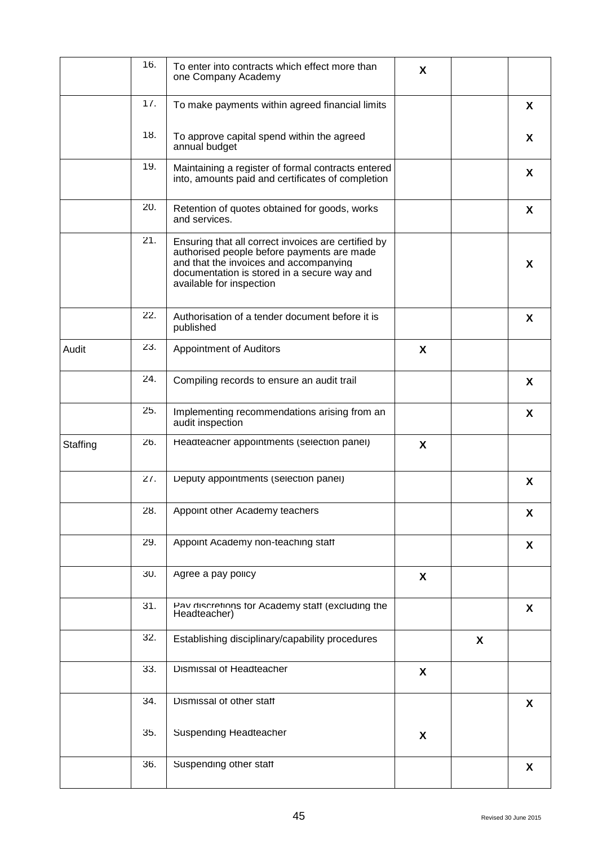|          | 16. | To enter into contracts which effect more than<br>one Company Academy                                                                                                                                                  | X |   |   |
|----------|-----|------------------------------------------------------------------------------------------------------------------------------------------------------------------------------------------------------------------------|---|---|---|
|          | 17. | To make payments within agreed financial limits                                                                                                                                                                        |   |   | X |
|          | 18. | To approve capital spend within the agreed<br>annual budget                                                                                                                                                            |   |   | X |
|          | 19. | Maintaining a register of formal contracts entered<br>into, amounts paid and certificates of completion                                                                                                                |   |   | X |
|          | 20. | Retention of quotes obtained for goods, works<br>and services.                                                                                                                                                         |   |   | X |
|          | 21. | Ensuring that all correct invoices are certified by<br>authorised people before payments are made<br>and that the invoices and accompanying<br>documentation is stored in a secure way and<br>available for inspection |   |   | X |
|          | 22. | Authorisation of a tender document before it is<br>published                                                                                                                                                           |   |   | X |
| Audit    | 23. | Appointment of Auditors                                                                                                                                                                                                | X |   |   |
|          | 24. | Compiling records to ensure an audit trail                                                                                                                                                                             |   |   | X |
|          | 25. | Implementing recommendations arising from an<br>audit inspection                                                                                                                                                       |   |   | X |
| Staffing | 26. | Headteacher appointments (selection panel)                                                                                                                                                                             | X |   |   |
|          | 27. | Deputy appointments (selection panel)                                                                                                                                                                                  |   |   | X |
|          | 28. | Appoint other Academy teachers                                                                                                                                                                                         |   |   | X |
|          | 29. | Appoint Academy non-teaching staff                                                                                                                                                                                     |   |   | X |
|          | 30. | Agree a pay policy                                                                                                                                                                                                     | X |   |   |
|          | 31. | Pav discretions for Academy staff (excluding the<br>Headteacher)                                                                                                                                                       |   |   | X |
|          | 32. | Establishing disciplinary/capability procedures                                                                                                                                                                        |   | X |   |
|          | 33. | Dismissal of Headteacher                                                                                                                                                                                               | X |   |   |
|          | 34. | Dismissal of other staff                                                                                                                                                                                               |   |   | X |
|          | 35. | Suspending Headteacher                                                                                                                                                                                                 | X |   |   |
|          | 36. | Suspending other staff                                                                                                                                                                                                 |   |   | X |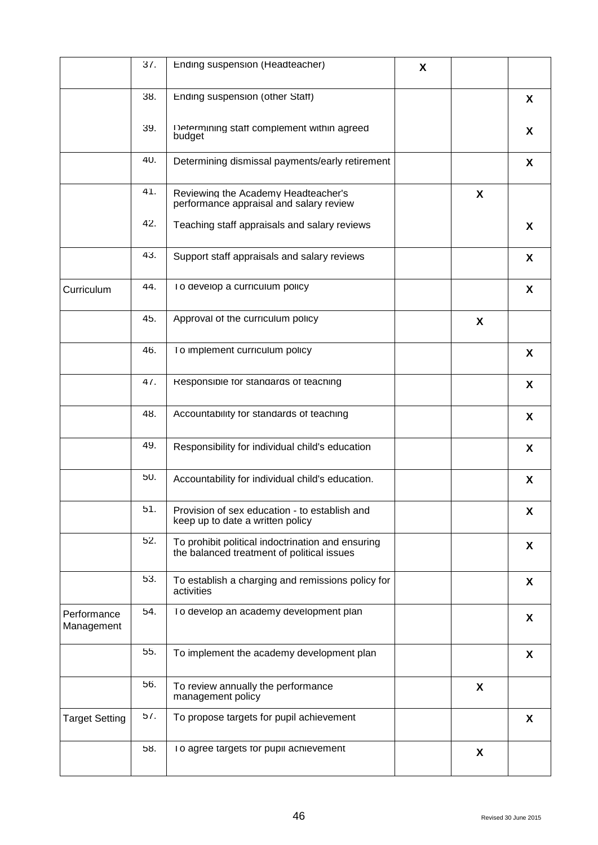|                           | 37. | Ending suspension (Headteacher)                                                                 | X |   |   |
|---------------------------|-----|-------------------------------------------------------------------------------------------------|---|---|---|
|                           | 38. | Ending suspension (other Staff)                                                                 |   |   | X |
|                           | 39. | Determining staff complement within agreed<br>budget                                            |   |   | X |
|                           | 40. | Determining dismissal payments/early retirement                                                 |   |   | X |
|                           | 41. | Reviewing the Academy Headteacher's<br>performance appraisal and salary review                  |   | X |   |
|                           | 42. | Teaching staff appraisals and salary reviews                                                    |   |   | X |
|                           | 43. | Support staff appraisals and salary reviews                                                     |   |   | X |
| Curriculum                | 44. | To develop a curriculum policy                                                                  |   |   | X |
|                           | 45. | Approval of the curriculum policy                                                               |   | X |   |
|                           | 46. | To implement curriculum policy                                                                  |   |   | X |
|                           | 47. | Responsible for standards of teaching                                                           |   |   | X |
|                           | 48. | Accountability for standards of teaching                                                        |   |   | X |
|                           | 49. | Responsibility for individual child's education                                                 |   |   | X |
|                           | 50. | Accountability for individual child's education.                                                |   |   | X |
|                           | 51. | Provision of sex education - to establish and<br>keep up to date a written policy               |   |   | X |
|                           | 52. | To prohibit political indoctrination and ensuring<br>the balanced treatment of political issues |   |   | X |
|                           | 53. | To establish a charging and remissions policy for<br>activities                                 |   |   | X |
| Performance<br>Management | 54. | To develop an academy development plan                                                          |   |   | X |
|                           | 55. | To implement the academy development plan                                                       |   |   | X |
|                           | 56. | To review annually the performance<br>management policy                                         |   | X |   |
| <b>Target Setting</b>     | 57. | To propose targets for pupil achievement                                                        |   |   | X |
|                           | 58. | To agree targets for pupil achievement                                                          |   | X |   |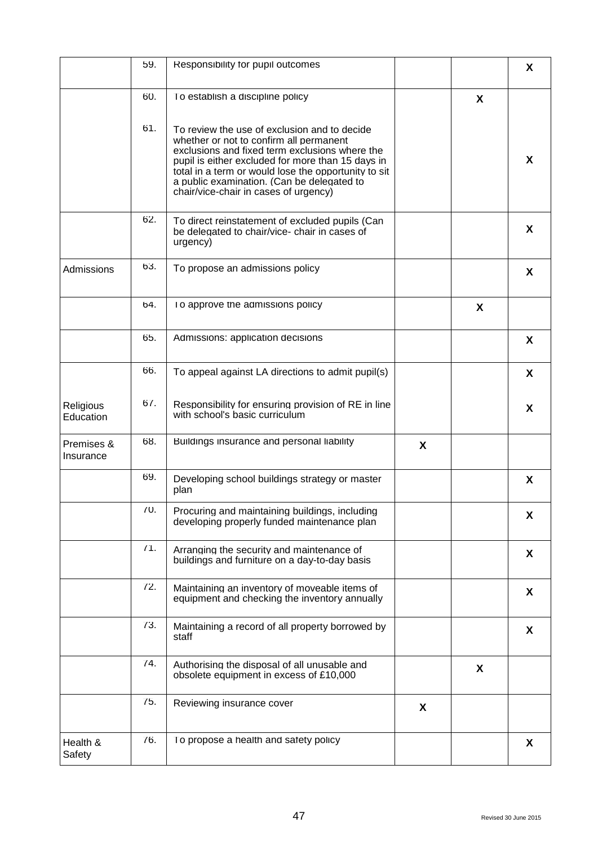|                         | 59.    | Responsibility for pupil outcomes                                                                                                                                                                                                                                                                                                             |   |   | X |
|-------------------------|--------|-----------------------------------------------------------------------------------------------------------------------------------------------------------------------------------------------------------------------------------------------------------------------------------------------------------------------------------------------|---|---|---|
|                         | 60.    | To establish a discipline policy                                                                                                                                                                                                                                                                                                              |   | X |   |
|                         | 61.    | To review the use of exclusion and to decide<br>whether or not to confirm all permanent<br>exclusions and fixed term exclusions where the<br>pupil is either excluded for more than 15 days in<br>total in a term or would lose the opportunity to sit<br>a public examination. (Can be delegated to<br>chair/vice-chair in cases of urgency) |   |   | X |
|                         | 62.    | To direct reinstatement of excluded pupils (Can<br>be delegated to chair/vice- chair in cases of<br>urgency)                                                                                                                                                                                                                                  |   |   | X |
| Admissions              | 63.    | To propose an admissions policy                                                                                                                                                                                                                                                                                                               |   |   | X |
|                         | 64.    | To approve the admissions policy                                                                                                                                                                                                                                                                                                              |   | X |   |
|                         | 65.    | Admissions: application decisions                                                                                                                                                                                                                                                                                                             |   |   | X |
|                         | 66.    | To appeal against LA directions to admit pupil(s)                                                                                                                                                                                                                                                                                             |   |   | X |
| Religious<br>Education  | $6/$ . | Responsibility for ensuring provision of RE in line<br>with school's basic curriculum                                                                                                                                                                                                                                                         |   |   | X |
| Premises &<br>Insurance | 68.    | Buildings insurance and personal liability                                                                                                                                                                                                                                                                                                    | X |   |   |
|                         | 69.    | Developing school buildings strategy or master<br>plan                                                                                                                                                                                                                                                                                        |   |   | X |
|                         | 70.    | Procuring and maintaining buildings, including<br>developing properly funded maintenance plan                                                                                                                                                                                                                                                 |   |   | X |
|                         | 71.    | Arranging the security and maintenance of<br>buildings and furniture on a day-to-day basis                                                                                                                                                                                                                                                    |   |   | X |
|                         | 72.    | Maintaining an inventory of moveable items of<br>equipment and checking the inventory annually                                                                                                                                                                                                                                                |   |   | X |
|                         | 73.    | Maintaining a record of all property borrowed by<br>staff                                                                                                                                                                                                                                                                                     |   |   | X |
|                         | 74.    | Authorising the disposal of all unusable and<br>obsolete equipment in excess of £10,000                                                                                                                                                                                                                                                       |   | X |   |
|                         | 75.    | Reviewing insurance cover                                                                                                                                                                                                                                                                                                                     | X |   |   |
| Health &<br>Safety      | 76.    | To propose a health and safety policy                                                                                                                                                                                                                                                                                                         |   |   | X |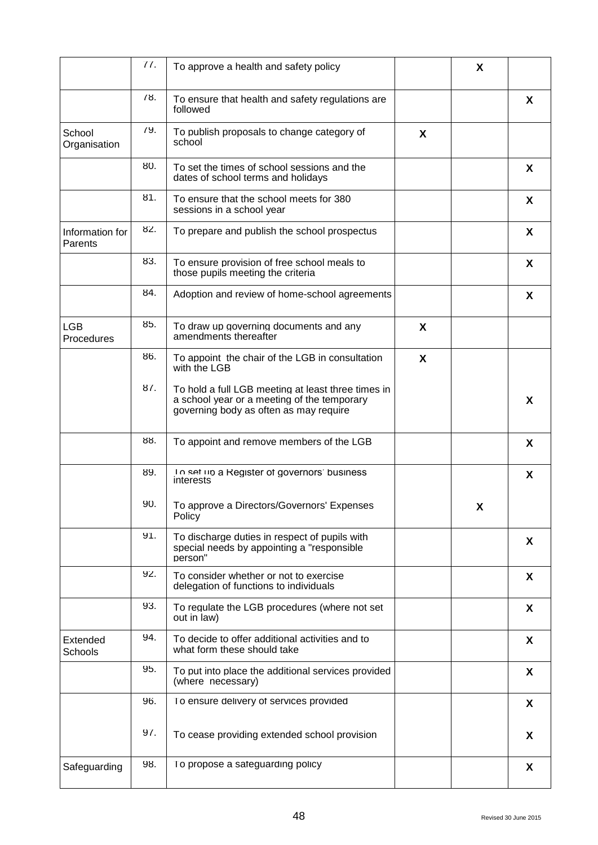|                            | 77. | To approve a health and safety policy                                                                                                       |   | X |              |
|----------------------------|-----|---------------------------------------------------------------------------------------------------------------------------------------------|---|---|--------------|
|                            | 78. | To ensure that health and safety regulations are<br>followed                                                                                |   |   | X            |
| School<br>Organisation     | 79. | To publish proposals to change category of<br>school                                                                                        | X |   |              |
|                            | 80. | To set the times of school sessions and the<br>dates of school terms and holidays                                                           |   |   | X            |
|                            | 81. | To ensure that the school meets for 380<br>sessions in a school year                                                                        |   |   | X            |
| Information for<br>Parents | 82. | To prepare and publish the school prospectus                                                                                                |   |   | X            |
|                            | 83. | To ensure provision of free school meals to<br>those pupils meeting the criteria                                                            |   |   | X            |
|                            | 84. | Adoption and review of home-school agreements                                                                                               |   |   | X            |
| <b>LGB</b><br>Procedures   | 85. | To draw up governing documents and any<br>amendments thereafter                                                                             | X |   |              |
|                            | 86. | To appoint the chair of the LGB in consultation<br>with the LGB                                                                             | X |   |              |
|                            | 87. | To hold a full LGB meeting at least three times in<br>a school year or a meeting of the temporary<br>governing body as often as may require |   |   | X            |
|                            | 88. | To appoint and remove members of the LGB                                                                                                    |   |   | X            |
|                            | 89. | To set up a Register of governors' business<br>interests                                                                                    |   |   | X            |
|                            | 90. | To approve a Directors/Governors' Expenses<br>Policy                                                                                        |   | X |              |
|                            | 91. | To discharge duties in respect of pupils with<br>special needs by appointing a "responsible<br>person"                                      |   |   | X            |
|                            | 92. | To consider whether or not to exercise<br>delegation of functions to individuals                                                            |   |   | X            |
|                            | 93. | To regulate the LGB procedures (where not set<br>out in law)                                                                                |   |   | X            |
| Extended<br>Schools        | 94. | To decide to offer additional activities and to<br>what form these should take                                                              |   |   | $\mathsf{X}$ |
|                            | 95. | To put into place the additional services provided<br>(where necessary)                                                                     |   |   | X            |
|                            | 96. | To ensure delivery of services provided                                                                                                     |   |   | X            |
|                            | 97. | To cease providing extended school provision                                                                                                |   |   | $\mathsf{X}$ |
| Safeguarding               | 98. | To propose a sateguarding policy                                                                                                            |   |   | X            |